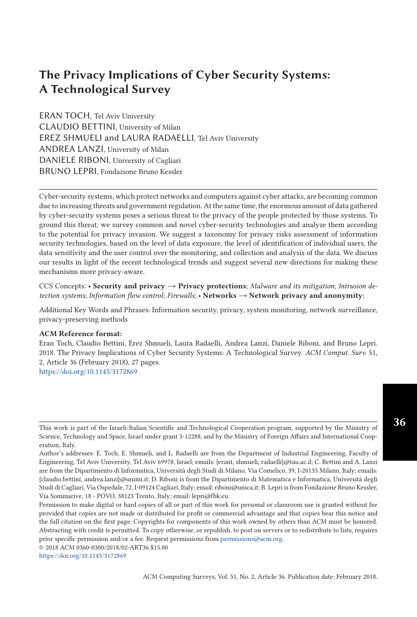# **The Privacy Implications of Cyber Security Systems: A Technological Survey**

ERAN TOCH, Tel Aviv University CLAUDIO BETTINI, University of Milan EREZ SHMUELI and LAURA RADAELLI, Tel Aviv University ANDREA LANZI, University of Milan DANIELE RIBONI, University of Cagliari BRUNO LEPRI, Fondazione Bruno Kessler

Cyber-security systems, which protect networks and computers against cyber attacks, are becoming common due to increasing threats and government regulation. At the same time, the enormous amount of data gathered by cyber-security systems poses a serious threat to the privacy of the people protected by those systems. To ground this threat, we survey common and novel cyber-security technologies and analyze them according to the potential for privacy invasion. We suggest a taxonomy for privacy risks assessment of information security technologies, based on the level of data exposure, the level of identification of individual users, the data sensitivity and the user control over the monitoring, and collection and analysis of the data. We discuss our results in light of the recent technological trends and suggest several new directions for making these mechanisms more privacy-aware.

CCS Concepts: • **Security and privacy** → **Privacy protections**; *Malware and its mitigation*; *Intrusion detection systems; Information flow control; Firewalls;* • **Networks**  $\rightarrow$  **Network privacy and anonymity**;

Additional Key Words and Phrases: Information security, privacy, system monitoring, network surveillance, privacy-preserving methods

#### **ACM Reference format:**

Eran Toch, Claudio Bettini, Erez Shmueli, Laura Radaelli, Andrea Lanzi, Daniele Riboni, and Bruno Lepri. 2018. The Privacy Implications of Cyber Security Systems: A Technological Survey. *ACM Comput. Surv.* 51, 2, Article 36 (February 2018), 27 pages.

<https://doi.org/10.1145/3172869>

<https://doi.org/10.1145/3172869>

This work is part of the Israeli-Italian Scientific and Technological Cooperation program, supported by the Ministry of Science, Technology and Space, Israel under grant 3-12288, and by the Ministry of Foreign Affairs and International Cooperation, Italy.

Author's addresses: E. Toch, E. Shmueli, and L. Radaelli are from the Department of Industrial Engineering, Faculty of Engineering, Tel Aviv University, Tel Aviv 69978, Israel; emails: {erant, shmueli, radaelli}@tau.ac.il; C. Bettini and A. Lanzi are from the Dipartimento di Informatica, Università degli Studi di Milano, Via Comelico, 39, I-20135 Milano, Italy; emails: {claudio.bettini, andrea.lanzi}@unimi.it; D. Riboni is from the Dipartimento di Matematica e Informatica, Università degli Studi di Cagliari, Via Ospedale, 72, I-09124 Cagliari, Italy; email: riboni@unica.it; B. Lepri is from Fondazione Bruno Kessler, Via Sommarive, 18 - POVO, 38123 Trento, Italy; email: lepri@fbk.eu.

Permission to make digital or hard copies of all or part of this work for personal or classroom use is granted without fee provided that copies are not made or distributed for profit or commercial advantage and that copies bear this notice and the full citation on the first page. Copyrights for components of this work owned by others than ACM must be honored. Abstracting with credit is permitted. To copy otherwise, or republish, to post on servers or to redistribute to lists, requires prior specific permission and/or a fee. Request permissions from [permissions@acm.org.](mailto:permissions@acm.org)

<sup>© 2018</sup> ACM 0360-0300/2018/02-ART36 \$15.00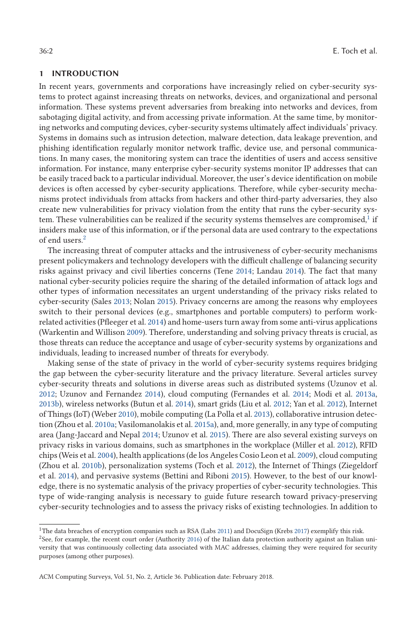#### **1 INTRODUCTION**

In recent years, governments and corporations have increasingly relied on cyber-security systems to protect against increasing threats on networks, devices, and organizational and personal information. These systems prevent adversaries from breaking into networks and devices, from sabotaging digital activity, and from accessing private information. At the same time, by monitoring networks and computing devices, cyber-security systems ultimately affect individuals' privacy. Systems in domains such as intrusion detection, malware detection, data leakage prevention, and phishing identification regularly monitor network traffic, device use, and personal communications. In many cases, the monitoring system can trace the identities of users and access sensitive information. For instance, many enterprise cyber-security systems monitor IP addresses that can be easily traced back to a particular individual. Moreover, the user's device identification on mobile devices is often accessed by cyber-security applications. Therefore, while cyber-security mechanisms protect individuals from attacks from hackers and other third-party adversaries, they also create new vulnerabilities for privacy violation from the entity that runs the cyber-security system. These vulnerabilities can be realized if the security systems themselves are compromised,<sup>1</sup> if insiders make use of this information, or if the personal data are used contrary to the expectations of end users.<sup>2</sup>

The increasing threat of computer attacks and the intrusiveness of cyber-security mechanisms present policymakers and technology developers with the difficult challenge of balancing security risks against privacy and civil liberties concerns (Tene [2014;](#page-25-0) Landau [2014\)](#page-23-0). The fact that many national cyber-security policies require the sharing of the detailed information of attack logs and other types of information necessitates an urgent understanding of the privacy risks related to cyber-security (Sales [2013;](#page-25-0) Nolan [2015\)](#page-24-0). Privacy concerns are among the reasons why employees switch to their personal devices (e.g., smartphones and portable computers) to perform workrelated activities (Pfleeger et al. [2014\)](#page-24-0) and home-users turn away from some anti-virus applications (Warkentin and Willison [2009\)](#page-26-0). Therefore, understanding and solving privacy threats is crucial, as those threats can reduce the acceptance and usage of cyber-security systems by organizations and individuals, leading to increased number of threats for everybody.

Making sense of the state of privacy in the world of cyber-security systems requires bridging the gap between the cyber-security literature and the privacy literature. Several articles survey cyber-security threats and solutions in diverse areas such as distributed systems (Uzunov et al. [2012;](#page-26-0) Uzunov and Fernandez [2014\)](#page-25-0), cloud computing (Fernandes et al. [2014;](#page-22-0) Modi et al. [2013a,](#page-24-0) [2013b\)](#page-24-0), wireless networks (Butun et al. [2014\)](#page-21-0), smart grids (Liu et al. [2012;](#page-23-0) Yan et al. [2012\)](#page-26-0), Internet of Things (IoT) (Weber [2010\)](#page-26-0), mobile computing (La Polla et al. [2013\)](#page-23-0), collaborative intrusion detection (Zhou et al. [2010a;](#page-26-0) Vasilomanolakis et al. [2015a\)](#page-26-0), and, more generally, in any type of computing area (Jang-Jaccard and Nepal [2014;](#page-22-0) Uzunov et al. [2015\)](#page-25-0). There are also several existing surveys on privacy risks in various domains, such as smartphones in the workplace (Miller et al. [2012\)](#page-24-0), RFID chips (Weis et al. [2004\)](#page-26-0), health applications (de los Angeles Cosio Leon et al. [2009\)](#page-22-0), cloud computing (Zhou et al. [2010b\)](#page-26-0), personalization systems (Toch et al. [2012\)](#page-25-0), the Internet of Things (Ziegeldorf et al. [2014\)](#page-26-0), and pervasive systems (Bettini and Riboni [2015\)](#page-21-0). However, to the best of our knowledge, there is no systematic analysis of the privacy properties of cyber-security technologies. This type of wide-ranging analysis is necessary to guide future research toward privacy-preserving cyber-security technologies and to assess the privacy risks of existing technologies. In addition to

<sup>&</sup>lt;sup>1</sup>The data breaches of encryption companies such as RSA (Labs [2011\)](#page-23-0) and DocuSign (Krebs [2017\)](#page-23-0) exemplify this risk.

 $2$ See, for example, the recent court order (Authority [2016\)](#page-21-0) of the Italian data protection authority against an Italian university that was continuously collecting data associated with MAC addresses, claiming they were required for security purposes (among other purposes).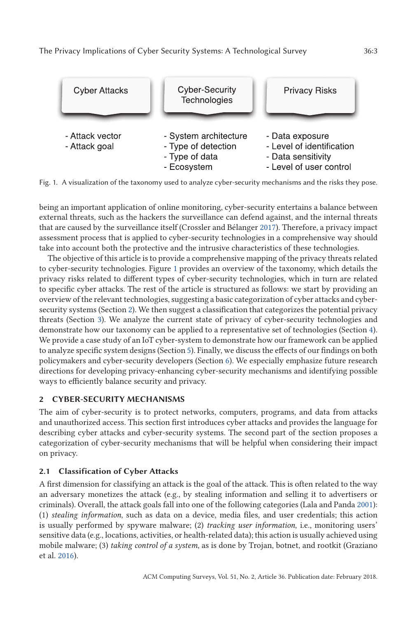<span id="page-2-0"></span>

Fig. 1. A visualization of the taxonomy used to analyze cyber-security mechanisms and the risks they pose.

being an important application of online monitoring, cyber-security entertains a balance between external threats, such as the hackers the surveillance can defend against, and the internal threats that are caused by the surveillance itself (Crossler and Bélanger [2017\)](#page-22-0). Therefore, a privacy impact assessment process that is applied to cyber-security technologies in a comprehensive way should take into account both the protective and the intrusive characteristics of these technologies.

The objective of this article is to provide a comprehensive mapping of the privacy threats related to cyber-security technologies. Figure 1 provides an overview of the taxonomy, which details the privacy risks related to different types of cyber-security technologies, which in turn are related to specific cyber attacks. The rest of the article is structured as follows: we start by providing an overview of the relevant technologies, suggesting a basic categorization of cyber attacks and cybersecurity systems (Section 2). We then suggest a classification that categorizes the potential privacy threats (Section [3\)](#page-5-0). We analyze the current state of privacy of cyber-security technologies and demonstrate how our taxonomy can be applied to a representative set of technologies (Section [4\)](#page-11-0). We provide a case study of an IoT cyber-system to demonstrate how our framework can be applied to analyze specific system designs (Section [5\)](#page-14-0). Finally, we discuss the effects of our findings on both policymakers and cyber-security developers (Section [6\)](#page-18-0). We especially emphasize future research directions for developing privacy-enhancing cyber-security mechanisms and identifying possible ways to efficiently balance security and privacy.

# **2 CYBER-SECURITY MECHANISMS**

The aim of cyber-security is to protect networks, computers, programs, and data from attacks and unauthorized access. This section first introduces cyber attacks and provides the language for describing cyber attacks and cyber-security systems. The second part of the section proposes a categorization of cyber-security mechanisms that will be helpful when considering their impact on privacy.

# **2.1 Classification of Cyber Attacks**

A first dimension for classifying an attack is the goal of the attack. This is often related to the way an adversary monetizes the attack (e.g., by stealing information and selling it to advertisers or criminals). Overall, the attack goals fall into one of the following categories (Lala and Panda [2001\)](#page-23-0): (1) *stealing information*, such as data on a device, media files, and user credentials; this action is usually performed by spyware malware; (2) *tracking user information*, i.e., monitoring users' sensitive data (e.g., locations, activities, or health-related data); this action is usually achieved using mobile malware; (3) *taking control of a system*, as is done by Trojan, botnet, and rootkit (Graziano et al. [2016\)](#page-22-0).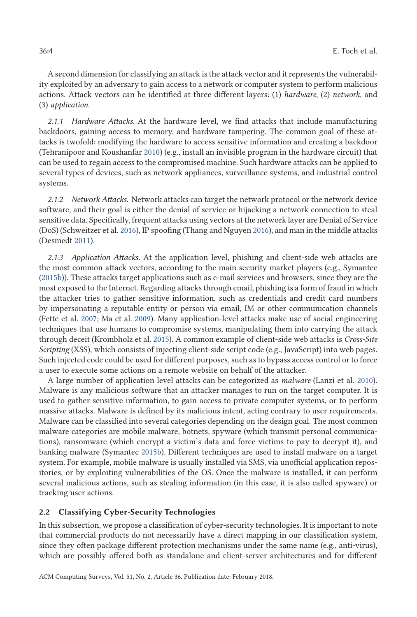A second dimension for classifying an attack is the attack vector and it represents the vulnerability exploited by an adversary to gain access to a network or computer system to perform malicious actions. Attack vectors can be identified at three different layers: (1) *hardware*, (2) *network*, and (3) *application*.

*2.1.1 Hardware Attacks.* At the hardware level, we find attacks that include manufacturing backdoors, gaining access to memory, and hardware tampering. The common goal of these attacks is twofold: modifying the hardware to access sensitive information and creating a backdoor (Tehranipoor and Koushanfar [2010\)](#page-25-0) (e.g., install an invisible program in the hardware circuit) that can be used to regain access to the compromised machine. Such hardware attacks can be applied to several types of devices, such as network appliances, surveillance systems, and industrial control systems.

*2.1.2 Network Attacks.* Network attacks can target the network protocol or the network device software, and their goal is either the denial of service or hijacking a network connection to steal sensitive data. Specifically, frequent attacks using vectors at the network layer are Denial of Service (DoS) (Schweitzer et al. [2016\)](#page-25-0), IP spoofing (Thang and Nguyen [2016\)](#page-25-0), and man in the middle attacks (Desmedt [2011\)](#page-22-0).

*2.1.3 Application Attacks.* At the application level, phishing and client-side web attacks are the most common attack vectors, according to the main security market players (e.g., Symantec [\(2015b\)](#page-25-0)). These attacks target applications such as e-mail services and browsers, since they are the most exposed to the Internet. Regarding attacks through email, phishing is a form of fraud in which the attacker tries to gather sensitive information, such as credentials and credit card numbers by impersonating a reputable entity or person via email, IM or other communication channels (Fette et al. [2007;](#page-22-0) Ma et al. [2009\)](#page-23-0). Many application-level attacks make use of social engineering techniques that use humans to compromise systems, manipulating them into carrying the attack through deceit (Krombholz et al. [2015\)](#page-23-0). A common example of client-side web attacks is *Cross-Site Scripting* (XSS), which consists of injecting client-side script code (e.g., JavaScript) into web pages. Such injected code could be used for different purposes, such as to bypass access control or to force a user to execute some actions on a remote website on behalf of the attacker.

A large number of application level attacks can be categorized as *malware* (Lanzi et al. [2010\)](#page-23-0). Malware is any malicious software that an attacker manages to run on the target computer. It is used to gather sensitive information, to gain access to private computer systems, or to perform massive attacks. Malware is defined by its malicious intent, acting contrary to user requirements. Malware can be classified into several categories depending on the design goal. The most common malware categories are mobile malware, botnets, spyware (which transmit personal communications), ransomware (which encrypt a victim's data and force victims to pay to decrypt it), and banking malware (Symantec [2015b\)](#page-25-0). Different techniques are used to install malware on a target system. For example, mobile malware is usually installed via SMS, via unofficial application repositories, or by exploiting vulnerabilities of the OS. Once the malware is installed, it can perform several malicious actions, such as stealing information (in this case, it is also called spyware) or tracking user actions.

#### **2.2 Classifying Cyber-Security Technologies**

In this subsection, we propose a classification of cyber-security technologies. It is important to note that commercial products do not necessarily have a direct mapping in our classification system, since they often package different protection mechanisms under the same name (e.g., anti-virus), which are possibly offered both as standalone and client-server architectures and for different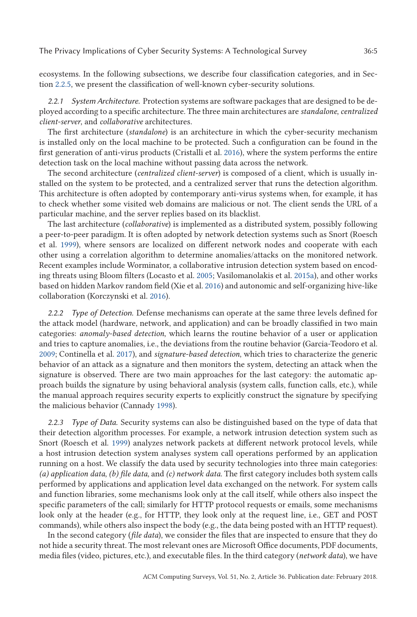ecosystems. In the following subsections, we describe four classification categories, and in Section [2.2.5,](#page-5-0) we present the classification of well-known cyber-security solutions.

*2.2.1 System Architecture.* Protection systems are software packages that are designed to be deployed according to a specific architecture. The three main architectures are *standalone*,*centralized client-server*, and *collaborative* architectures.

The first architecture (*standalone*) is an architecture in which the cyber-security mechanism is installed only on the local machine to be protected. Such a configuration can be found in the first generation of anti-virus products (Cristalli et al. [2016\)](#page-21-0), where the system performs the entire detection task on the local machine without passing data across the network.

The second architecture (*centralized client-server*) is composed of a client, which is usually installed on the system to be protected, and a centralized server that runs the detection algorithm. This architecture is often adopted by contemporary anti-virus systems when, for example, it has to check whether some visited web domains are malicious or not. The client sends the URL of a particular machine, and the server replies based on its blacklist.

The last architecture (*collaborative*) is implemented as a distributed system, possibly following a peer-to-peer paradigm. It is often adopted by network detection systems such as Snort (Roesch et al. [1999\)](#page-25-0), where sensors are localized on different network nodes and cooperate with each other using a correlation algorithm to determine anomalies/attacks on the monitored network. Recent examples include Worminator, a collaborative intrusion detection system based on encoding threats using Bloom filters (Locasto et al. [2005;](#page-23-0) Vasilomanolakis et al. [2015a\)](#page-26-0), and other works based on hidden Markov random field (Xie et al. [2016\)](#page-26-0) and autonomic and self-organizing hive-like collaboration (Korczynski et al. [2016\)](#page-23-0).

*2.2.2 Type of Detection.* Defense mechanisms can operate at the same three levels defined for the attack model (hardware, network, and application) and can be broadly classified in two main categories: *anomaly-based detection*, which learns the routine behavior of a user or application and tries to capture anomalies, i.e., the deviations from the routine behavior (Garcia-Teodoro et al. [2009;](#page-22-0) Continella et al. [2017\)](#page-21-0), and *signature-based detection*, which tries to characterize the generic behavior of an attack as a signature and then monitors the system, detecting an attack when the signature is observed. There are two main approaches for the last category: the automatic approach builds the signature by using behavioral analysis (system calls, function calls, etc.), while the manual approach requires security experts to explicitly construct the signature by specifying the malicious behavior (Cannady [1998\)](#page-21-0).

*2.2.3 Type of Data.* Security systems can also be distinguished based on the type of data that their detection algorithm processes. For example, a network intrusion detection system such as Snort (Roesch et al. [1999\)](#page-25-0) analyzes network packets at different network protocol levels, while a host intrusion detection system analyses system call operations performed by an application running on a host. We classify the data used by security technologies into three main categories: *(a) application data*, *(b) file data*, and *(c) network data*. The first category includes both system calls performed by applications and application level data exchanged on the network. For system calls and function libraries, some mechanisms look only at the call itself, while others also inspect the specific parameters of the call; similarly for HTTP protocol requests or emails, some mechanisms look only at the header (e.g., for HTTP, they look only at the request line, i.e., GET and POST commands), while others also inspect the body (e.g., the data being posted with an HTTP request).

In the second category (*file data*), we consider the files that are inspected to ensure that they do not hide a security threat. The most relevant ones are Microsoft Office documents, PDF documents, media files (video, pictures, etc.), and executable files. In the third category (*network data*), we have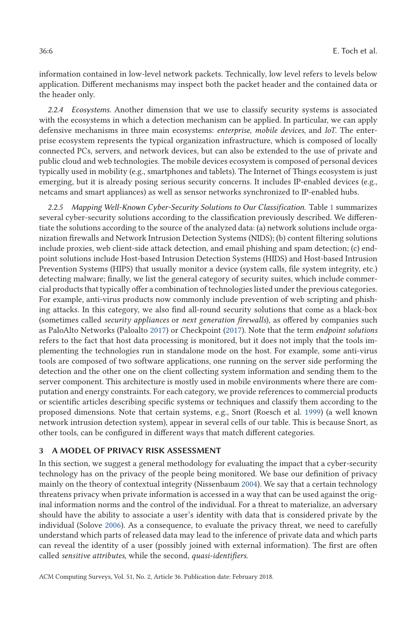<span id="page-5-0"></span>information contained in low-level network packets. Technically, low level refers to levels below application. Different mechanisms may inspect both the packet header and the contained data or the header only.

*2.2.4 Ecosystems.* Another dimension that we use to classify security systems is associated with the ecosystems in which a detection mechanism can be applied. In particular, we can apply defensive mechanisms in three main ecosystems: *enterprise*, *mobile devices*, and *IoT*. The enterprise ecosystem represents the typical organization infrastructure, which is composed of locally connected PCs, servers, and network devices, but can also be extended to the use of private and public cloud and web technologies. The mobile devices ecosystem is composed of personal devices typically used in mobility (e.g., smartphones and tablets). The Internet of Things ecosystem is just emerging, but it is already posing serious security concerns. It includes IP-enabled devices (e.g., netcams and smart appliances) as well as sensor networks synchronized to IP-enabled hubs.

*2.2.5 Mapping Well-Known Cyber-Security Solutions to Our Classification.* Table [1](#page-6-0) summarizes several cyber-security solutions according to the classification previously described. We differentiate the solutions according to the source of the analyzed data: (a) network solutions include organization firewalls and Network Intrusion Detection Systems (NIDS); (b) content filtering solutions include proxies, web client-side attack detection, and email phishing and spam detection; (c) endpoint solutions include Host-based Intrusion Detection Systems (HIDS) and Host-based Intrusion Prevention Systems (HIPS) that usually monitor a device (system calls, file system integrity, etc.) detecting malware; finally, we list the general category of security suites, which include commercial products that typically offer a combination of technologies listed under the previous categories. For example, anti-virus products now commonly include prevention of web scripting and phishing attacks. In this category, we also find all-round security solutions that come as a black-box (sometimes called *security appliances* or *next generation firewalls*), as offered by companies such as PaloAlto Networks (Paloalto [2017\)](#page-24-0) or Checkpoint [\(2017\)](#page-21-0). Note that the term *endpoint solutions* refers to the fact that host data processing is monitored, but it does not imply that the tools implementing the technologies run in standalone mode on the host. For example, some anti-virus tools are composed of two software applications, one running on the server side performing the detection and the other one on the client collecting system information and sending them to the server component. This architecture is mostly used in mobile environments where there are computation and energy constraints. For each category, we provide references to commercial products or scientific articles describing specific systems or techniques and classify them according to the proposed dimensions. Note that certain systems, e.g., Snort (Roesch et al. [1999\)](#page-25-0) (a well known network intrusion detection system), appear in several cells of our table. This is because Snort, as other tools, can be configured in different ways that match different categories.

#### **3 A MODEL OF PRIVACY RISK ASSESSMENT**

In this section, we suggest a general methodology for evaluating the impact that a cyber-security technology has on the privacy of the people being monitored. We base our definition of privacy mainly on the theory of contextual integrity (Nissenbaum [2004\)](#page-24-0). We say that a certain technology threatens privacy when private information is accessed in a way that can be used against the original information norms and the control of the individual. For a threat to materialize, an adversary should have the ability to associate a user's identity with data that is considered private by the individual (Solove [2006\)](#page-25-0). As a consequence, to evaluate the privacy threat, we need to carefully understand which parts of released data may lead to the inference of private data and which parts can reveal the identity of a user (possibly joined with external information). The first are often called *sensitive attributes*, while the second, *quasi-identifiers*.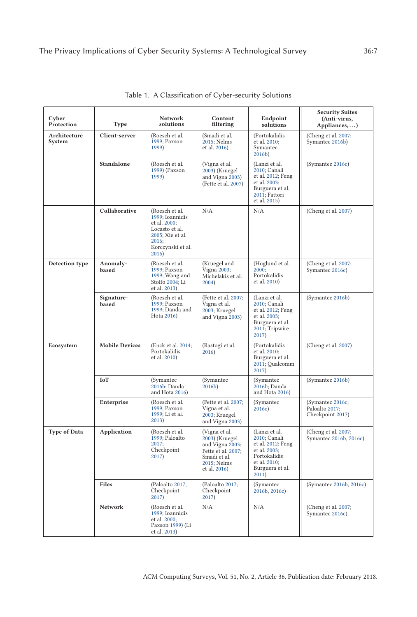<span id="page-6-0"></span>

| Cyber<br>Protection    | <b>Type</b>           | Network<br>solutions                                                                                                           | Content<br>filtering                                                                                                    | Endpoint<br>solutions                                                                                                          | <b>Security Suites</b><br>(Anti-virus,<br>Appliances,) |
|------------------------|-----------------------|--------------------------------------------------------------------------------------------------------------------------------|-------------------------------------------------------------------------------------------------------------------------|--------------------------------------------------------------------------------------------------------------------------------|--------------------------------------------------------|
| Architecture<br>System | Client-server         | (Roesch et al.<br>1999; Paxson<br>1999)                                                                                        | (Smadi et al.<br>2015; Nelms<br>et al. 2016)                                                                            | (Portokalidis<br>et al. 2010;<br>Symantec<br>2016b)                                                                            | (Cheng et al. 2007;<br>Symantec 2016b)                 |
|                        | Standalone            | (Roesch et al.<br>1999) (Paxson<br>1999)                                                                                       | (Vigna et al.<br>2003) (Kruegel<br>and Vigna 2003)<br>(Fette et al. 2007)                                               | (Lanzi et al.<br>2010; Canali<br>et al. 2012; Feng<br>et al. 2003;<br>Burguera et al.<br>2011; Fattori<br>et al. 2015)         | (Symantec 2016c)                                       |
|                        | Collaborative         | (Roesch et al.<br>1999: Ioannidis<br>et al. 2000;<br>Locasto et al.<br>2005; Xie et al.<br>2016;<br>Korczynski et al.<br>2016) | N/A                                                                                                                     | N/A                                                                                                                            | (Cheng et al. 2007)                                    |
| Detection type         | Anomaly-<br>based     | (Roesch et al.<br>1999; Paxson<br>1999; Wang and<br>Stolfo 2004; Li<br>et al. 2013)                                            | (Kruegel and<br>Vigna 2003;<br>Michelakis et al.<br>2004)                                                               | (Hoglund et al.<br>2000;<br>Portokalidis<br>et al. 2010)                                                                       | (Cheng et al. 2007;<br>Symantec 2016c)                 |
|                        | Signature-<br>based   | (Roesch et al.<br>1999; Paxson<br>1999; Danda and<br>Hota 2016)                                                                | (Fette et al. 2007;<br>Vigna et al.<br>2003; Kruegel<br>and Vigna 2003)                                                 | (Lanzi et al.<br>2010; Canali<br>et al. 2012; Feng<br>et al. 2003;<br>Burguera et al.<br>2011; Tripwire<br>2017)               | (Symantec 2016b)                                       |
| Ecosystem              | <b>Mobile Devices</b> | (Enck et al. 2014;<br>Portokalidis<br>et al. 2010)                                                                             | (Rastogi et al.<br>2016)                                                                                                | (Portokalidis<br>et al. 2010:<br>Burguera et al.<br>2011; Qualcomm<br>2017)                                                    | (Cheng et al. 2007)                                    |
|                        | IoT                   | (Symantec<br>2016b; Danda<br>and Hota 2016)                                                                                    | (Symantec<br>2016b)                                                                                                     | (Symantec<br>2016b: Danda<br>and Hota 2016)                                                                                    | (Symantec 2016b)                                       |
|                        | Enterprise            | (Roesch et al.<br>1999; Paxson<br>1999; Li et al.<br>2013)                                                                     | (Fette et al. 2007;<br>Vigna et al.<br>2003; Kruegel<br>and Vigna 2003)                                                 | (Symantec<br>2016c                                                                                                             | (Symantec 2016c;<br>Paloalto 2017;<br>Checkpoint 2017) |
| <b>Type of Data</b>    | Application           | (Roesch et al.<br>1999: Paloalto<br>2017;<br>Checkpoint<br>2017)                                                               | (Vigna et al.<br>2003) (Kruegel<br>and Vigna 2003;<br>Fette et al. 2007;<br>Smadi et al.<br>2015; Nelms<br>et al. 2016) | (Lanzi et al.<br>2010: Canali<br>et al. 2012; Feng<br>et al. 2003;<br>Portokalidis<br>et al. 2010;<br>Burguera et al.<br>2011) | (Cheng et al. 2007;<br>Symantec 2016b, 2016c)          |
|                        | <b>Files</b>          | (Paloalto 2017;<br>Checkpoint<br>2017)                                                                                         | (Paloalto 2017;<br>Checkpoint<br>2017)                                                                                  | (Symantec)<br>2016b, 2016c)                                                                                                    | (Symantec 2016b, 2016c)                                |
|                        | <b>Network</b>        | (Roesch et al.<br>1999; Ioannidis<br>et al. 2000;<br>Paxson 1999) (Li<br>et al. 2013)                                          | N/A                                                                                                                     | N/A                                                                                                                            | (Cheng et al. 2007;<br>Symantec 2016c)                 |

Table 1. A Classification of Cyber-security Solutions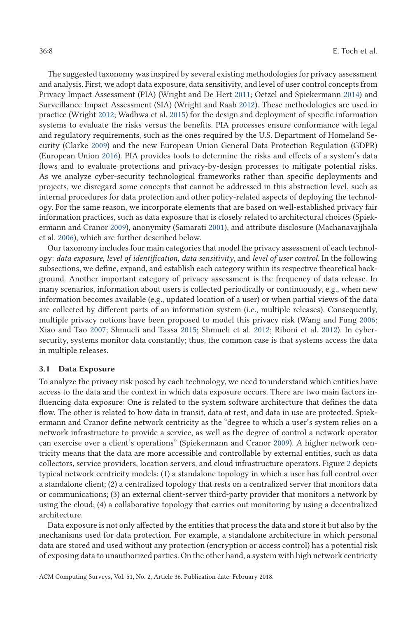<span id="page-7-0"></span>The suggested taxonomy was inspired by several existing methodologies for privacy assessment and analysis. First, we adopt data exposure, data sensitivity, and level of user control concepts from Privacy Impact Assessment (PIA) (Wright and De Hert [2011;](#page-26-0) Oetzel and Spiekermann [2014\)](#page-24-0) and Surveillance Impact Assessment (SIA) (Wright and Raab [2012\)](#page-26-0). These methodologies are used in practice (Wright [2012;](#page-26-0) Wadhwa et al. [2015\)](#page-26-0) for the design and deployment of specific information systems to evaluate the risks versus the benefits. PIA processes ensure conformance with legal and regulatory requirements, such as the ones required by the U.S. Department of Homeland Security (Clarke [2009\)](#page-21-0) and the new European Union General Data Protection Regulation (GDPR) (European Union [2016\)](#page-24-0). PIA provides tools to determine the risks and effects of a system's data flows and to evaluate protections and privacy-by-design processes to mitigate potential risks. As we analyze cyber-security technological frameworks rather than specific deployments and projects, we disregard some concepts that cannot be addressed in this abstraction level, such as internal procedures for data protection and other policy-related aspects of deploying the technology. For the same reason, we incorporate elements that are based on well-established privacy fair information practices, such as data exposure that is closely related to architectural choices (Spiekermann and Cranor [2009\)](#page-25-0), anonymity (Samarati [2001\)](#page-25-0), and attribute disclosure (Machanavajjhala et al. [2006\)](#page-23-0), which are further described below.

Our taxonomy includes four main categories that model the privacy assessment of each technology: *data exposure*, *level of identification*, *data sensitivity*, and *level of user control*. In the following subsections, we define, expand, and establish each category within its respective theoretical background. Another important category of privacy assessment is the frequency of data release. In many scenarios, information about users is collected periodically or continuously, e.g., when new information becomes available (e.g., updated location of a user) or when partial views of the data are collected by different parts of an information system (i.e., multiple releases). Consequently, multiple privacy notions have been proposed to model this privacy risk (Wang and Fung [2006;](#page-26-0) Xiao and Tao [2007;](#page-26-0) Shmueli and Tassa [2015;](#page-25-0) Shmueli et al. [2012;](#page-25-0) Riboni et al. [2012\)](#page-24-0). In cybersecurity, systems monitor data constantly; thus, the common case is that systems access the data in multiple releases.

#### **3.1 Data Exposure**

To analyze the privacy risk posed by each technology, we need to understand which entities have access to the data and the context in which data exposure occurs. There are two main factors influencing data exposure: One is related to the system software architecture that defines the data flow. The other is related to how data in transit, data at rest, and data in use are protected. Spiekermann and Cranor define network centricity as the "degree to which a user's system relies on a network infrastructure to provide a service, as well as the degree of control a network operator can exercise over a client's operations" (Spiekermann and Cranor [2009\)](#page-25-0). A higher network centricity means that the data are more accessible and controllable by external entities, such as data collectors, service providers, location servers, and cloud infrastructure operators. Figure [2](#page-8-0) depicts typical network centricity models: (1) a standalone topology in which a user has full control over a standalone client; (2) a centralized topology that rests on a centralized server that monitors data or communications; (3) an external client-server third-party provider that monitors a network by using the cloud; (4) a collaborative topology that carries out monitoring by using a decentralized architecture.

Data exposure is not only affected by the entities that process the data and store it but also by the mechanisms used for data protection. For example, a standalone architecture in which personal data are stored and used without any protection (encryption or access control) has a potential risk of exposing data to unauthorized parties. On the other hand, a system with high network centricity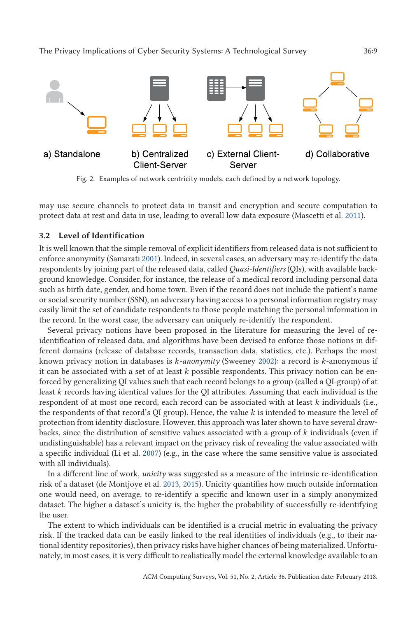<span id="page-8-0"></span>The Privacy Implications of Cyber Security Systems: A Technological Survey 36:9



Fig. 2. Examples of network centricity models, each defined by a network topology.

may use secure channels to protect data in transit and encryption and secure computation to protect data at rest and data in use, leading to overall low data exposure (Mascetti et al. [2011\)](#page-24-0).

# **3.2 Level of Identification**

It is well known that the simple removal of explicit identifiers from released data is not sufficient to enforce anonymity (Samarati [2001\)](#page-25-0). Indeed, in several cases, an adversary may re-identify the data respondents by joining part of the released data, called *Quasi-Identifiers* (QIs), with available background knowledge. Consider, for instance, the release of a medical record including personal data such as birth date, gender, and home town. Even if the record does not include the patient's name or social security number (SSN), an adversary having access to a personal information registry may easily limit the set of candidate respondents to those people matching the personal information in the record. In the worst case, the adversary can uniquely re-identify the respondent.

Several privacy notions have been proposed in the literature for measuring the level of reidentification of released data, and algorithms have been devised to enforce those notions in different domains (release of database records, transaction data, statistics, etc.). Perhaps the most known privacy notion in databases is *k-anonymity* (Sweeney [2002\)](#page-25-0): a record is *k*-anonymous if it can be associated with a set of at least *k* possible respondents. This privacy notion can be enforced by generalizing QI values such that each record belongs to a group (called a QI-group) of at least *k* records having identical values for the QI attributes. Assuming that each individual is the respondent of at most one record, each record can be associated with at least *k* individuals (i.e., the respondents of that record's QI group). Hence, the value *k* is intended to measure the level of protection from identity disclosure. However, this approach was later shown to have several drawbacks, since the distribution of sensitive values associated with a group of *k* individuals (even if undistinguishable) has a relevant impact on the privacy risk of revealing the value associated with a specific individual (Li et al. [2007\)](#page-23-0) (e.g., in the case where the same sensitive value is associated with all individuals).

In a different line of work, *unicity* was suggested as a measure of the intrinsic re-identification risk of a dataset (de Montjoye et al. [2013,](#page-22-0) [2015\)](#page-22-0). Unicity quantifies how much outside information one would need, on average, to re-identify a specific and known user in a simply anonymized dataset. The higher a dataset's unicity is, the higher the probability of successfully re-identifying the user.

The extent to which individuals can be identified is a crucial metric in evaluating the privacy risk. If the tracked data can be easily linked to the real identities of individuals (e.g., to their national identity repositories), then privacy risks have higher chances of being materialized. Unfortunately, in most cases, it is very difficult to realistically model the external knowledge available to an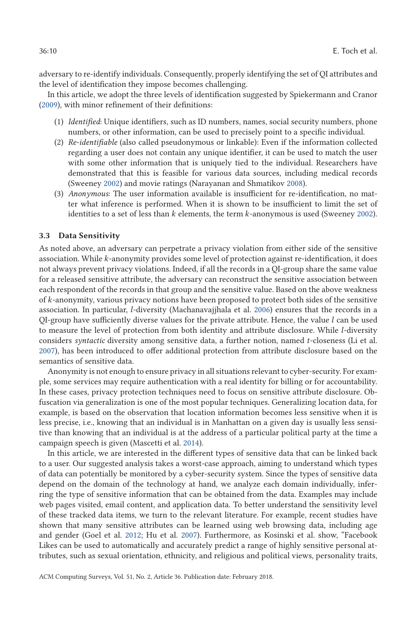adversary to re-identify individuals. Consequently, properly identifying the set of QI attributes and the level of identification they impose becomes challenging.

In this article, we adopt the three levels of identification suggested by Spiekermann and Cranor [\(2009\)](#page-25-0), with minor refinement of their definitions:

- (1) *Identified*: Unique identifiers, such as ID numbers, names, social security numbers, phone numbers, or other information, can be used to precisely point to a specific individual.
- (2) *Re-identifiable* (also called pseudonymous or linkable): Even if the information collected regarding a user does not contain any unique identifier, it can be used to match the user with some other information that is uniquely tied to the individual. Researchers have demonstrated that this is feasible for various data sources, including medical records (Sweeney [2002\)](#page-25-0) and movie ratings (Narayanan and Shmatikov [2008\)](#page-24-0).
- (3) *Anonymous*: The user information available is insufficient for re-identification, no matter what inference is performed. When it is shown to be insufficient to limit the set of identities to a set of less than *k* elements, the term *k*-anonymous is used (Sweeney [2002\)](#page-25-0).

#### **3.3 Data Sensitivity**

As noted above, an adversary can perpetrate a privacy violation from either side of the sensitive association. While *k*-anonymity provides some level of protection against re-identification, it does not always prevent privacy violations. Indeed, if all the records in a QI-group share the same value for a released sensitive attribute, the adversary can reconstruct the sensitive association between each respondent of the records in that group and the sensitive value. Based on the above weakness of *k*-anonymity, various privacy notions have been proposed to protect both sides of the sensitive association. In particular, *l*-diversity (Machanavajjhala et al. [2006\)](#page-23-0) ensures that the records in a QI-group have sufficiently diverse values for the private attribute. Hence, the value *l* can be used to measure the level of protection from both identity and attribute disclosure. While *l*-diversity considers *syntactic* diversity among sensitive data, a further notion, named *t*-closeness (Li et al. [2007\)](#page-23-0), has been introduced to offer additional protection from attribute disclosure based on the semantics of sensitive data.

Anonymity is not enough to ensure privacy in all situations relevant to cyber-security. For example, some services may require authentication with a real identity for billing or for accountability. In these cases, privacy protection techniques need to focus on sensitive attribute disclosure. Obfuscation via generalization is one of the most popular techniques. Generalizing location data, for example, is based on the observation that location information becomes less sensitive when it is less precise, i.e., knowing that an individual is in Manhattan on a given day is usually less sensitive than knowing that an individual is at the address of a particular political party at the time a campaign speech is given (Mascetti et al. [2014\)](#page-24-0).

In this article, we are interested in the different types of sensitive data that can be linked back to a user. Our suggested analysis takes a worst-case approach, aiming to understand which types of data can potentially be monitored by a cyber-security system. Since the types of sensitive data depend on the domain of the technology at hand, we analyze each domain individually, inferring the type of sensitive information that can be obtained from the data. Examples may include web pages visited, email content, and application data. To better understand the sensitivity level of these tracked data items, we turn to the relevant literature. For example, recent studies have shown that many sensitive attributes can be learned using web browsing data, including age and gender (Goel et al. [2012;](#page-22-0) Hu et al. [2007\)](#page-22-0). Furthermore, as Kosinski et al. show, "Facebook Likes can be used to automatically and accurately predict a range of highly sensitive personal attributes, such as sexual orientation, ethnicity, and religious and political views, personality traits,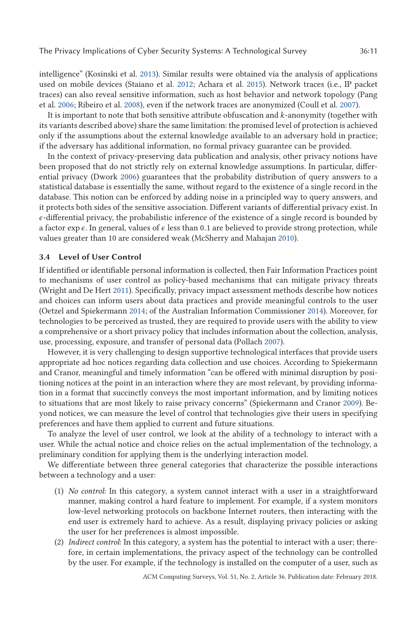intelligence" (Kosinski et al. [2013\)](#page-23-0). Similar results were obtained via the analysis of applications used on mobile devices (Staiano et al. [2012;](#page-25-0) Achara et al. [2015\)](#page-21-0). Network traces (i.e., IP packet traces) can also reveal sensitive information, such as host behavior and network topology (Pang et al. [2006;](#page-24-0) Ribeiro et al. [2008\)](#page-24-0), even if the network traces are anonymized (Coull et al. [2007\)](#page-21-0).

It is important to note that both sensitive attribute obfuscation and *k*-anonymity (together with its variants described above) share the same limitation: the promised level of protection is achieved only if the assumptions about the external knowledge available to an adversary hold in practice; if the adversary has additional information, no formal privacy guarantee can be provided.

In the context of privacy-preserving data publication and analysis, other privacy notions have been proposed that do not strictly rely on external knowledge assumptions. In particular, differential privacy (Dwork [2006\)](#page-22-0) guarantees that the probability distribution of query answers to a statistical database is essentially the same, without regard to the existence of a single record in the database. This notion can be enforced by adding noise in a principled way to query answers, and it protects both sides of the sensitive association. Different variants of differential privacy exist. In *ϵ*-differential privacy, the probabilistic inference of the existence of a single record is bounded by a factor exp  $\epsilon$ . In general, values of  $\epsilon$  less than 0.1 are believed to provide strong protection, while values greater than 10 are considered weak (McSherry and Mahajan [2010\)](#page-24-0).

### **3.4 Level of User Control**

If identified or identifiable personal information is collected, then Fair Information Practices point to mechanisms of user control as policy-based mechanisms that can mitigate privacy threats (Wright and De Hert [2011\)](#page-26-0). Specifically, privacy impact assessment methods describe how notices and choices can inform users about data practices and provide meaningful controls to the user (Oetzel and Spiekermann [2014;](#page-24-0) of the Australian Information Commissioner [2014\)](#page-24-0). Moreover, for technologies to be perceived as trusted, they are required to provide users with the ability to view a comprehensive or a short privacy policy that includes information about the collection, analysis, use, processing, exposure, and transfer of personal data (Pollach [2007\)](#page-24-0).

However, it is very challenging to design supportive technological interfaces that provide users appropriate ad hoc notices regarding data collection and use choices. According to Spiekermann and Cranor, meaningful and timely information "can be offered with minimal disruption by positioning notices at the point in an interaction where they are most relevant, by providing information in a format that succinctly conveys the most important information, and by limiting notices to situations that are most likely to raise privacy concerns" (Spiekermann and Cranor [2009\)](#page-25-0). Beyond notices, we can measure the level of control that technologies give their users in specifying preferences and have them applied to current and future situations.

To analyze the level of user control, we look at the ability of a technology to interact with a user. While the actual notice and choice relies on the actual implementation of the technology, a preliminary condition for applying them is the underlying interaction model.

We differentiate between three general categories that characterize the possible interactions between a technology and a user:

- (1) *No control*: In this category, a system cannot interact with a user in a straightforward manner, making control a hard feature to implement. For example, if a system monitors low-level networking protocols on backbone Internet routers, then interacting with the end user is extremely hard to achieve. As a result, displaying privacy policies or asking the user for her preferences is almost impossible.
- (2) *Indirect control*: In this category, a system has the potential to interact with a user; therefore, in certain implementations, the privacy aspect of the technology can be controlled by the user. For example, if the technology is installed on the computer of a user, such as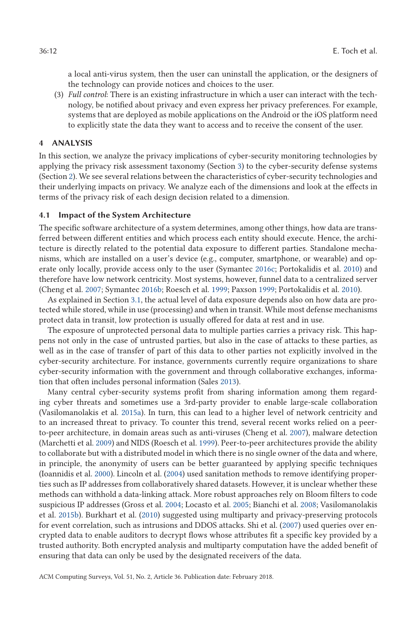<span id="page-11-0"></span>a local anti-virus system, then the user can uninstall the application, or the designers of the technology can provide notices and choices to the user.

(3) *Full control*: There is an existing infrastructure in which a user can interact with the technology, be notified about privacy and even express her privacy preferences. For example, systems that are deployed as mobile applications on the Android or the iOS platform need to explicitly state the data they want to access and to receive the consent of the user.

# **4 ANALYSIS**

In this section, we analyze the privacy implications of cyber-security monitoring technologies by applying the privacy risk assessment taxonomy (Section [3\)](#page-5-0) to the cyber-security defense systems (Section [2\)](#page-2-0). We see several relations between the characteristics of cyber-security technologies and their underlying impacts on privacy. We analyze each of the dimensions and look at the effects in terms of the privacy risk of each design decision related to a dimension.

#### **4.1 Impact of the System Architecture**

The specific software architecture of a system determines, among other things, how data are transferred between different entities and which process each entity should execute. Hence, the architecture is directly related to the potential data exposure to different parties. Standalone mechanisms, which are installed on a user's device (e.g., computer, smartphone, or wearable) and operate only locally, provide access only to the user (Symantec [2016c;](#page-25-0) Portokalidis et al. [2010\)](#page-24-0) and therefore have low network centricity. Most systems, however, funnel data to a centralized server (Cheng et al. [2007;](#page-21-0) Symantec [2016b;](#page-25-0) Roesch et al. [1999;](#page-25-0) Paxson [1999;](#page-24-0) Portokalidis et al. [2010\)](#page-24-0).

As explained in Section [3.1,](#page-7-0) the actual level of data exposure depends also on how data are protected while stored, while in use (processing) and when in transit. While most defense mechanisms protect data in transit, low protection is usually offered for data at rest and in use.

The exposure of unprotected personal data to multiple parties carries a privacy risk. This happens not only in the case of untrusted parties, but also in the case of attacks to these parties, as well as in the case of transfer of part of this data to other parties not explicitly involved in the cyber-security architecture. For instance, governments currently require organizations to share cyber-security information with the government and through collaborative exchanges, information that often includes personal information (Sales [2013\)](#page-25-0).

Many central cyber-security systems profit from sharing information among them regarding cyber threats and sometimes use a 3rd-party provider to enable large-scale collaboration (Vasilomanolakis et al. [2015a\)](#page-26-0). In turn, this can lead to a higher level of network centricity and to an increased threat to privacy. To counter this trend, several recent works relied on a peerto-peer architecture, in domain areas such as anti-viruses (Cheng et al. [2007\)](#page-21-0), malware detection (Marchetti et al. [2009\)](#page-23-0) and NIDS (Roesch et al. [1999\)](#page-25-0). Peer-to-peer architectures provide the ability to collaborate but with a distributed model in which there is no single owner of the data and where, in principle, the anonymity of users can be better guaranteed by applying specific techniques (Ioannidis et al. [2000\)](#page-22-0). Lincoln et al. [\(2004\)](#page-23-0) used sanitation methods to remove identifying properties such as IP addresses from collaboratively shared datasets. However, it is unclear whether these methods can withhold a data-linking attack. More robust approaches rely on Bloom filters to code suspicious IP addresses (Gross et al. [2004;](#page-22-0) Locasto et al. [2005;](#page-23-0) Bianchi et al. [2008;](#page-21-0) Vasilomanolakis et al. [2015b\)](#page-26-0). Burkhart et al. [\(2010\)](#page-21-0) suggested using multiparty and privacy-preserving protocols for event correlation, such as intrusions and DDOS attacks. Shi et al. [\(2007\)](#page-25-0) used queries over encrypted data to enable auditors to decrypt flows whose attributes fit a specific key provided by a trusted authority. Both encrypted analysis and multiparty computation have the added benefit of ensuring that data can only be used by the designated receivers of the data.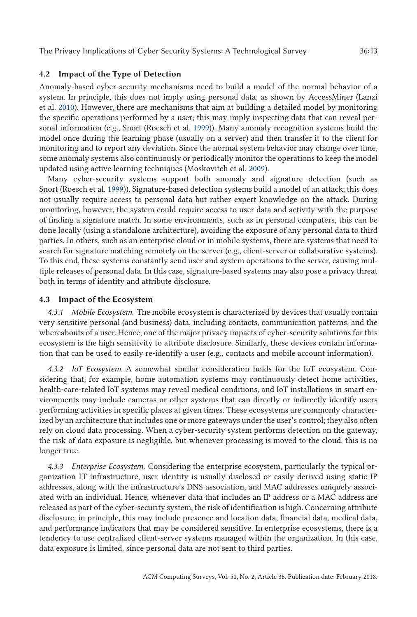#### **4.2 Impact of the Type of Detection**

Anomaly-based cyber-security mechanisms need to build a model of the normal behavior of a system. In principle, this does not imply using personal data, as shown by AccessMiner (Lanzi et al. [2010\)](#page-23-0). However, there are mechanisms that aim at building a detailed model by monitoring the specific operations performed by a user; this may imply inspecting data that can reveal personal information (e.g., Snort (Roesch et al. [1999\)](#page-25-0)). Many anomaly recognition systems build the model once during the learning phase (usually on a server) and then transfer it to the client for monitoring and to report any deviation. Since the normal system behavior may change over time, some anomaly systems also continuously or periodically monitor the operations to keep the model updated using active learning techniques (Moskovitch et al. [2009\)](#page-24-0).

Many cyber-security systems support both anomaly and signature detection (such as Snort (Roesch et al. [1999\)](#page-25-0)). Signature-based detection systems build a model of an attack; this does not usually require access to personal data but rather expert knowledge on the attack. During monitoring, however, the system could require access to user data and activity with the purpose of finding a signature match. In some environments, such as in personal computers, this can be done locally (using a standalone architecture), avoiding the exposure of any personal data to third parties. In others, such as an enterprise cloud or in mobile systems, there are systems that need to search for signature matching remotely on the server (e.g., client-server or collaborative systems). To this end, these systems constantly send user and system operations to the server, causing multiple releases of personal data. In this case, signature-based systems may also pose a privacy threat both in terms of identity and attribute disclosure.

#### **4.3 Impact of the Ecosystem**

*4.3.1 Mobile Ecosystem.* The mobile ecosystem is characterized by devices that usually contain very sensitive personal (and business) data, including contacts, communication patterns, and the whereabouts of a user. Hence, one of the major privacy impacts of cyber-security solutions for this ecosystem is the high sensitivity to attribute disclosure. Similarly, these devices contain information that can be used to easily re-identify a user (e.g., contacts and mobile account information).

*4.3.2 IoT Ecosystem.* A somewhat similar consideration holds for the IoT ecosystem. Considering that, for example, home automation systems may continuously detect home activities, health-care-related IoT systems may reveal medical conditions, and IoT installations in smart environments may include cameras or other systems that can directly or indirectly identify users performing activities in specific places at given times. These ecosystems are commonly characterized by an architecture that includes one or more gateways under the user's control; they also often rely on cloud data processing. When a cyber-security system performs detection on the gateway, the risk of data exposure is negligible, but whenever processing is moved to the cloud, this is no longer true.

*4.3.3 Enterprise Ecosystem.* Considering the enterprise ecosystem, particularly the typical organization IT infrastructure, user identity is usually disclosed or easily derived using static IP addresses, along with the infrastructure's DNS association, and MAC addresses uniquely associated with an individual. Hence, whenever data that includes an IP address or a MAC address are released as part of the cyber-security system, the risk of identification is high. Concerning attribute disclosure, in principle, this may include presence and location data, financial data, medical data, and performance indicators that may be considered sensitive. In enterprise ecosystems, there is a tendency to use centralized client-server systems managed within the organization. In this case, data exposure is limited, since personal data are not sent to third parties.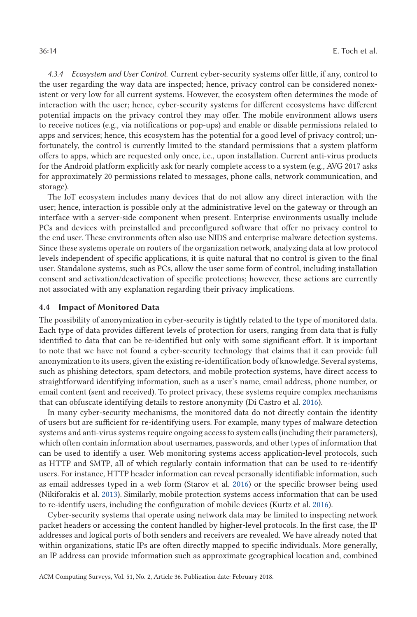*4.3.4 Ecosystem and User Control.* Current cyber-security systems offer little, if any, control to the user regarding the way data are inspected; hence, privacy control can be considered nonexistent or very low for all current systems. However, the ecosystem often determines the mode of interaction with the user; hence, cyber-security systems for different ecosystems have different potential impacts on the privacy control they may offer. The mobile environment allows users to receive notices (e.g., via notifications or pop-ups) and enable or disable permissions related to apps and services; hence, this ecosystem has the potential for a good level of privacy control; unfortunately, the control is currently limited to the standard permissions that a system platform offers to apps, which are requested only once, i.e., upon installation. Current anti-virus products for the Android platform explicitly ask for nearly complete access to a system (e.g., AVG 2017 asks for approximately 20 permissions related to messages, phone calls, network communication, and storage).

The IoT ecosystem includes many devices that do not allow any direct interaction with the user; hence, interaction is possible only at the administrative level on the gateway or through an interface with a server-side component when present. Enterprise environments usually include PCs and devices with preinstalled and preconfigured software that offer no privacy control to the end user. These environments often also use NIDS and enterprise malware detection systems. Since these systems operate on routers of the organization network, analyzing data at low protocol levels independent of specific applications, it is quite natural that no control is given to the final user. Standalone systems, such as PCs, allow the user some form of control, including installation consent and activation/deactivation of specific protections; however, these actions are currently not associated with any explanation regarding their privacy implications.

#### **4.4 Impact of Monitored Data**

The possibility of anonymization in cyber-security is tightly related to the type of monitored data. Each type of data provides different levels of protection for users, ranging from data that is fully identified to data that can be re-identified but only with some significant effort. It is important to note that we have not found a cyber-security technology that claims that it can provide full anonymization to its users, given the existing re-identification body of knowledge. Several systems, such as phishing detectors, spam detectors, and mobile protection systems, have direct access to straightforward identifying information, such as a user's name, email address, phone number, or email content (sent and received). To protect privacy, these systems require complex mechanisms that can obfuscate identifying details to restore anonymity (Di Castro et al. [2016\)](#page-22-0).

In many cyber-security mechanisms, the monitored data do not directly contain the identity of users but are sufficient for re-identifying users. For example, many types of malware detection systems and anti-virus systems require ongoing access to system calls (including their parameters), which often contain information about usernames, passwords, and other types of information that can be used to identify a user. Web monitoring systems access application-level protocols, such as HTTP and SMTP, all of which regularly contain information that can be used to re-identify users. For instance, HTTP header information can reveal personally identifiable information, such as email addresses typed in a web form (Starov et al. [2016\)](#page-25-0) or the specific browser being used (Nikiforakis et al. [2013\)](#page-24-0). Similarly, mobile protection systems access information that can be used to re-identify users, including the configuration of mobile devices (Kurtz et al. [2016\)](#page-23-0).

Cyber-security systems that operate using network data may be limited to inspecting network packet headers or accessing the content handled by higher-level protocols. In the first case, the IP addresses and logical ports of both senders and receivers are revealed. We have already noted that within organizations, static IPs are often directly mapped to specific individuals. More generally, an IP address can provide information such as approximate geographical location and, combined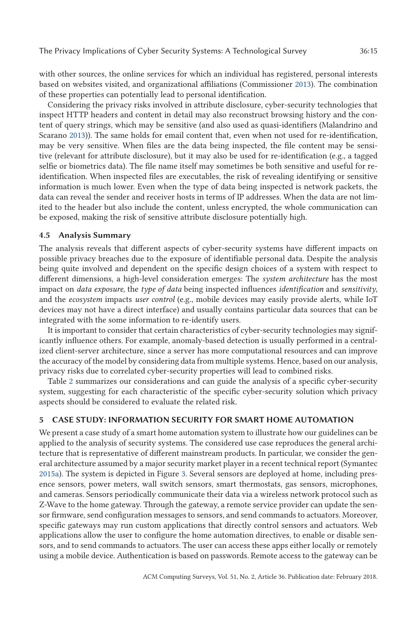<span id="page-14-0"></span>with other sources, the online services for which an individual has registered, personal interests based on websites visited, and organizational affiliations (Commissioner [2013\)](#page-21-0). The combination of these properties can potentially lead to personal identification.

Considering the privacy risks involved in attribute disclosure, cyber-security technologies that inspect HTTP headers and content in detail may also reconstruct browsing history and the content of query strings, which may be sensitive (and also used as quasi-identifiers (Malandrino and Scarano [2013\)](#page-23-0)). The same holds for email content that, even when not used for re-identification, may be very sensitive. When files are the data being inspected, the file content may be sensitive (relevant for attribute disclosure), but it may also be used for re-identification (e.g., a tagged selfie or biometrics data). The file name itself may sometimes be both sensitive and useful for reidentification. When inspected files are executables, the risk of revealing identifying or sensitive information is much lower. Even when the type of data being inspected is network packets, the data can reveal the sender and receiver hosts in terms of IP addresses. When the data are not limited to the header but also include the content, unless encrypted, the whole communication can be exposed, making the risk of sensitive attribute disclosure potentially high.

## **4.5 Analysis Summary**

The analysis reveals that different aspects of cyber-security systems have different impacts on possible privacy breaches due to the exposure of identifiable personal data. Despite the analysis being quite involved and dependent on the specific design choices of a system with respect to different dimensions, a high-level consideration emerges: The *system architecture* has the most impact on *data exposure*, the *type of data* being inspected influences *identification* and *sensitivity*, and the *ecosystem* impacts *user control* (e.g., mobile devices may easily provide alerts, while IoT devices may not have a direct interface) and usually contains particular data sources that can be integrated with the some information to re-identify users.

It is important to consider that certain characteristics of cyber-security technologies may significantly influence others. For example, anomaly-based detection is usually performed in a centralized client-server architecture, since a server has more computational resources and can improve the accuracy of the model by considering data from multiple systems. Hence, based on our analysis, privacy risks due to correlated cyber-security properties will lead to combined risks.

Table [2](#page-15-0) summarizes our considerations and can guide the analysis of a specific cyber-security system, suggesting for each characteristic of the specific cyber-security solution which privacy aspects should be considered to evaluate the related risk.

## **5 CASE STUDY: INFORMATION SECURITY FOR SMART HOME AUTOMATION**

We present a case study of a smart home automation system to illustrate how our guidelines can be applied to the analysis of security systems. The considered use case reproduces the general architecture that is representative of different mainstream products. In particular, we consider the general architecture assumed by a major security market player in a recent technical report (Symantec [2015a\)](#page-25-0). The system is depicted in Figure [3.](#page-16-0) Several sensors are deployed at home, including presence sensors, power meters, wall switch sensors, smart thermostats, gas sensors, microphones, and cameras. Sensors periodically communicate their data via a wireless network protocol such as Z-Wave to the home gateway. Through the gateway, a remote service provider can update the sensor firmware, send configuration messages to sensors, and send commands to actuators. Moreover, specific gateways may run custom applications that directly control sensors and actuators. Web applications allow the user to configure the home automation directives, to enable or disable sensors, and to send commands to actuators. The user can access these apps either locally or remotely using a mobile device. Authentication is based on passwords. Remote access to the gateway can be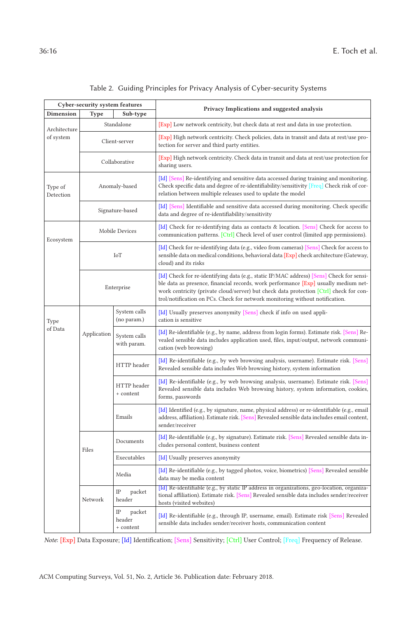<span id="page-15-0"></span>

| Cyber-security system features |                 |                                              | Privacy Implications and suggested analysis                                                                                                                                                                                                                                                                                                               |  |  |
|--------------------------------|-----------------|----------------------------------------------|-----------------------------------------------------------------------------------------------------------------------------------------------------------------------------------------------------------------------------------------------------------------------------------------------------------------------------------------------------------|--|--|
| Dimension                      | <b>Type</b>     | Sub-type                                     |                                                                                                                                                                                                                                                                                                                                                           |  |  |
| Architecture                   | Standalone      |                                              | [Exp] Low network centricity, but check data at rest and data in use protection.                                                                                                                                                                                                                                                                          |  |  |
| of system                      | Client-server   |                                              | [Exp] High network centricity. Check policies, data in transit and data at rest/use pro-<br>tection for server and third party entities.                                                                                                                                                                                                                  |  |  |
|                                | Collaborative   |                                              | [Exp] High network centricity. Check data in transit and data at rest/use protection for<br>sharing users.                                                                                                                                                                                                                                                |  |  |
| Type of<br>Detection           | Anomaly-based   |                                              | [Id] [Sens] Re-identifying and sensitive data accessed during training and monitoring.<br>Check specific data and degree of re-identifiability/sensitivity [Freq] Check risk of cor-<br>relation between multiple releases used to update the model                                                                                                       |  |  |
|                                | Signature-based |                                              | [Id] [Sens] Identifiable and sensitive data accessed during monitoring. Check specific<br>data and degree of re-identifiability/sensitivity                                                                                                                                                                                                               |  |  |
| Ecosystem                      | Mobile Devices  |                                              | [Id] Check for re-identifying data as contacts & location. [Sens] Check for access to<br>communication patterns. [Ctrl] Check level of user control (limited app permissions).                                                                                                                                                                            |  |  |
|                                | IoT             |                                              | [Id] Check for re-identifying data (e.g., video from cameras) [Sens] Check for access to<br>sensible data on medical conditions, behavioral data [Exp] check architecture (Gateway,<br>cloud) and its risks                                                                                                                                               |  |  |
|                                | Enterprise      |                                              | [Id] Check for re-identifying data (e.g., static IP/MAC address) [Sens] Check for sensi-<br>ble data as presence, financial records, work performance [Exp] usually medium net-<br>work centricity (private cloud/server) but check data protection [Ctrl] check for con-<br>trol/notification on PCs. Check for network monitoring without notification. |  |  |
| Type<br>of Data                | Application     | System calls<br>(no param.)                  | [Id] Usually preserves anonymity [Sens] check if info on used appli-<br>cation is sensitive                                                                                                                                                                                                                                                               |  |  |
|                                |                 | System calls<br>with param.                  | [Id] Re-identifiable (e.g., by name, address from login forms). Estimate risk. [Sens] Re-<br>vealed sensible data includes application used, files, input/output, network communi-<br>cation (web browsing)                                                                                                                                               |  |  |
|                                |                 | HTTP header                                  | [Id] Re-identifiable (e.g., by web browsing analysis, username). Estimate risk. [Sens]<br>Revealed sensible data includes Web browsing history, system information                                                                                                                                                                                        |  |  |
|                                |                 | HTTP header<br>+ content                     | [Id] Re-identifiable (e.g., by web browsing analysis, username). Estimate risk. [Sens]<br>Revealed sensible data includes Web browsing history, system information, cookies,<br>forms, passwords                                                                                                                                                          |  |  |
|                                |                 | Emails                                       | [Id] Identified (e.g., by signature, name, physical address) or re-identifiable (e.g., email<br>address, affiliation). Estimate risk. [Sens] Revealed sensible data includes email content,<br>sender/receiver                                                                                                                                            |  |  |
|                                | Files           | Documents                                    | [Id] Re-identifiable (e.g., by signature). Estimate risk. [Sens] Revealed sensible data in-<br>cludes personal content, business content                                                                                                                                                                                                                  |  |  |
|                                |                 | Executables                                  | [Id] Usually preserves anonymity                                                                                                                                                                                                                                                                                                                          |  |  |
|                                |                 | Media                                        | [Id] Re-identifiable (e.g., by tagged photos, voice, biometrics) [Sens] Revealed sensible<br>data may be media content                                                                                                                                                                                                                                    |  |  |
|                                | Network         | $\rm IP$<br>packet<br>header                 | [Id] Re-identifiable (e.g., by static IP address in organizations, geo-location, organiza-<br>tional affiliation). Estimate risk. [Sens] Revealed sensible data includes sender/receiver<br>hosts (visited websites)                                                                                                                                      |  |  |
|                                |                 | $_{\rm IP}$<br>packet<br>header<br>+ content | [Id] Re-identifiable (e.g., through IP, username, email). Estimate risk [Sens] Revealed<br>sensible data includes sender/receiver hosts, communication content                                                                                                                                                                                            |  |  |

# Table 2. Guiding Principles for Privacy Analysis of Cyber-security Systems

*Note*: [Exp] Data Exposure; [Id] Identification; [Sens] Sensitivity; [Ctrl] User Control; [Freq] Frequency of Release.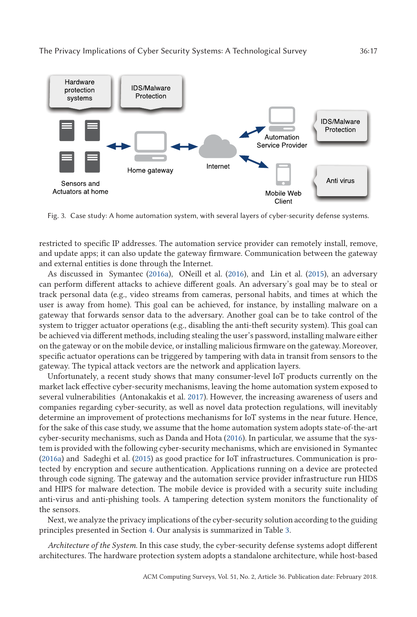<span id="page-16-0"></span>

Fig. 3. Case study: A home automation system, with several layers of cyber-security defense systems.

restricted to specific IP addresses. The automation service provider can remotely install, remove, and update apps; it can also update the gateway firmware. Communication between the gateway and external entities is done through the Internet.

As discussed in Symantec [\(2016a\)](#page-25-0), ONeill et al. [\(2016\)](#page-24-0), and Lin et al. [\(2015\)](#page-23-0), an adversary can perform different attacks to achieve different goals. An adversary's goal may be to steal or track personal data (e.g., video streams from cameras, personal habits, and times at which the user is away from home). This goal can be achieved, for instance, by installing malware on a gateway that forwards sensor data to the adversary. Another goal can be to take control of the system to trigger actuator operations (e.g., disabling the anti-theft security system). This goal can be achieved via different methods, including stealing the user's password, installing malware either on the gateway or on the mobile device, or installing malicious firmware on the gateway. Moreover, specific actuator operations can be triggered by tampering with data in transit from sensors to the gateway. The typical attack vectors are the network and application layers.

Unfortunately, a recent study shows that many consumer-level IoT products currently on the market lack effective cyber-security mechanisms, leaving the home automation system exposed to several vulnerabilities (Antonakakis et al. [2017\)](#page-21-0). However, the increasing awareness of users and companies regarding cyber-security, as well as novel data protection regulations, will inevitably determine an improvement of protections mechanisms for IoT systems in the near future. Hence, for the sake of this case study, we assume that the home automation system adopts state-of-the-art cyber-security mechanisms, such as Danda and Hota [\(2016\)](#page-22-0). In particular, we assume that the system is provided with the following cyber-security mechanisms, which are envisioned in Symantec [\(2016a\)](#page-25-0) and Sadeghi et al. [\(2015\)](#page-25-0) as good practice for IoT infrastructures. Communication is protected by encryption and secure authentication. Applications running on a device are protected through code signing. The gateway and the automation service provider infrastructure run HIDS and HIPS for malware detection. The mobile device is provided with a security suite including anti-virus and anti-phishing tools. A tampering detection system monitors the functionality of the sensors.

Next, we analyze the privacy implications of the cyber-security solution according to the guiding principles presented in Section [4.](#page-11-0) Our analysis is summarized in Table [3.](#page-17-0)

*Architecture of the System*. In this case study, the cyber-security defense systems adopt different architectures. The hardware protection system adopts a standalone architecture, while host-based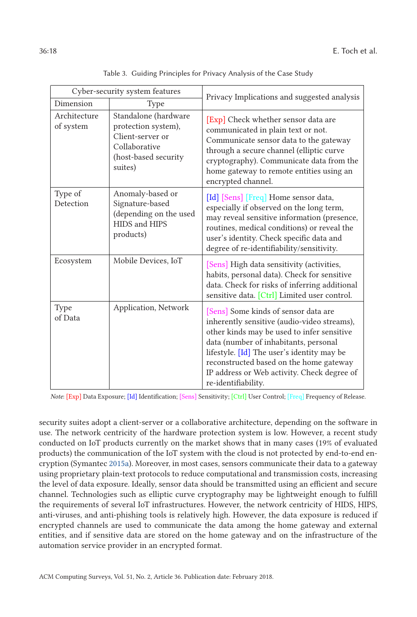<span id="page-17-0"></span>

|                           | Cyber-security system features                                                                                      | Privacy Implications and suggested analysis                                                                                                                                                                                                                                                                                               |
|---------------------------|---------------------------------------------------------------------------------------------------------------------|-------------------------------------------------------------------------------------------------------------------------------------------------------------------------------------------------------------------------------------------------------------------------------------------------------------------------------------------|
| Dimension                 | Type                                                                                                                |                                                                                                                                                                                                                                                                                                                                           |
| Architecture<br>of system | Standalone (hardware<br>protection system),<br>Client-server or<br>Collaborative<br>(host-based security<br>suites) | [Exp] Check whether sensor data are<br>communicated in plain text or not.<br>Communicate sensor data to the gateway<br>through a secure channel (elliptic curve<br>cryptography). Communicate data from the<br>home gateway to remote entities using an<br>encrypted channel.                                                             |
| Type of<br>Detection      | Anomaly-based or<br>Signature-based<br>(depending on the used<br>HIDS and HIPS<br>products)                         | [Id] [Sens] [Freq] Home sensor data,<br>especially if observed on the long term,<br>may reveal sensitive information (presence,<br>routines, medical conditions) or reveal the<br>user's identity. Check specific data and<br>degree of re-identifiability/sensitivity.                                                                   |
| Ecosystem                 | Mobile Devices, IoT                                                                                                 | [Sens] High data sensitivity (activities,<br>habits, personal data). Check for sensitive<br>data. Check for risks of inferring additional<br>sensitive data. [Ctrl] Limited user control.                                                                                                                                                 |
| Type<br>of Data           | Application, Network                                                                                                | [Sens] Some kinds of sensor data are<br>inherently sensitive (audio-video streams),<br>other kinds may be used to infer sensitive<br>data (number of inhabitants, personal<br>lifestyle. [Id] The user's identity may be<br>reconstructed based on the home gateway<br>IP address or Web activity. Check degree of<br>re-identifiability. |

Table 3. Guiding Principles for Privacy Analysis of the Case Study

*Note*: [Exp] Data Exposure; [Id] Identification; [Sens] Sensitivity; [Ctrl] User Control; [Freq] Frequency of Release.

security suites adopt a client-server or a collaborative architecture, depending on the software in use. The network centricity of the hardware protection system is low. However, a recent study conducted on IoT products currently on the market shows that in many cases (19% of evaluated products) the communication of the IoT system with the cloud is not protected by end-to-end encryption (Symantec [2015a\)](#page-25-0). Moreover, in most cases, sensors communicate their data to a gateway using proprietary plain-text protocols to reduce computational and transmission costs, increasing the level of data exposure. Ideally, sensor data should be transmitted using an efficient and secure channel. Technologies such as elliptic curve cryptography may be lightweight enough to fulfill the requirements of several IoT infrastructures. However, the network centricity of HIDS, HIPS, anti-viruses, and anti-phishing tools is relatively high. However, the data exposure is reduced if encrypted channels are used to communicate the data among the home gateway and external entities, and if sensitive data are stored on the home gateway and on the infrastructure of the automation service provider in an encrypted format.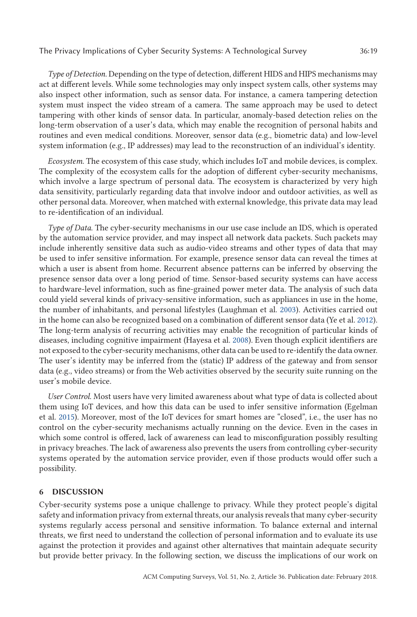<span id="page-18-0"></span>*Type of Detection*. Depending on the type of detection, different HIDS and HIPS mechanisms may act at different levels. While some technologies may only inspect system calls, other systems may also inspect other information, such as sensor data. For instance, a camera tampering detection system must inspect the video stream of a camera. The same approach may be used to detect tampering with other kinds of sensor data. In particular, anomaly-based detection relies on the long-term observation of a user's data, which may enable the recognition of personal habits and routines and even medical conditions. Moreover, sensor data (e.g., biometric data) and low-level system information (e.g., IP addresses) may lead to the reconstruction of an individual's identity.

*Ecosystem*. The ecosystem of this case study, which includes IoT and mobile devices, is complex. The complexity of the ecosystem calls for the adoption of different cyber-security mechanisms, which involve a large spectrum of personal data. The ecosystem is characterized by very high data sensitivity, particularly regarding data that involve indoor and outdoor activities, as well as other personal data. Moreover, when matched with external knowledge, this private data may lead to re-identification of an individual.

*Type of Data*. The cyber-security mechanisms in our use case include an IDS, which is operated by the automation service provider, and may inspect all network data packets. Such packets may include inherently sensitive data such as audio-video streams and other types of data that may be used to infer sensitive information. For example, presence sensor data can reveal the times at which a user is absent from home. Recurrent absence patterns can be inferred by observing the presence sensor data over a long period of time. Sensor-based security systems can have access to hardware-level information, such as fine-grained power meter data. The analysis of such data could yield several kinds of privacy-sensitive information, such as appliances in use in the home, the number of inhabitants, and personal lifestyles (Laughman et al. [2003\)](#page-23-0). Activities carried out in the home can also be recognized based on a combination of different sensor data (Ye et al. [2012\)](#page-26-0). The long-term analysis of recurring activities may enable the recognition of particular kinds of diseases, including cognitive impairment (Hayesa et al. [2008\)](#page-22-0). Even though explicit identifiers are not exposed to the cyber-security mechanisms, other data can be used to re-identify the data owner. The user's identity may be inferred from the (static) IP address of the gateway and from sensor data (e.g., video streams) or from the Web activities observed by the security suite running on the user's mobile device.

*User Control*. Most users have very limited awareness about what type of data is collected about them using IoT devices, and how this data can be used to infer sensitive information (Egelman et al. [2015\)](#page-22-0). Moreover, most of the IoT devices for smart homes are "closed", i.e., the user has no control on the cyber-security mechanisms actually running on the device. Even in the cases in which some control is offered, lack of awareness can lead to misconfiguration possibly resulting in privacy breaches. The lack of awareness also prevents the users from controlling cyber-security systems operated by the automation service provider, even if those products would offer such a possibility.

#### **6 DISCUSSION**

Cyber-security systems pose a unique challenge to privacy. While they protect people's digital safety and information privacy from external threats, our analysis reveals that many cyber-security systems regularly access personal and sensitive information. To balance external and internal threats, we first need to understand the collection of personal information and to evaluate its use against the protection it provides and against other alternatives that maintain adequate security but provide better privacy. In the following section, we discuss the implications of our work on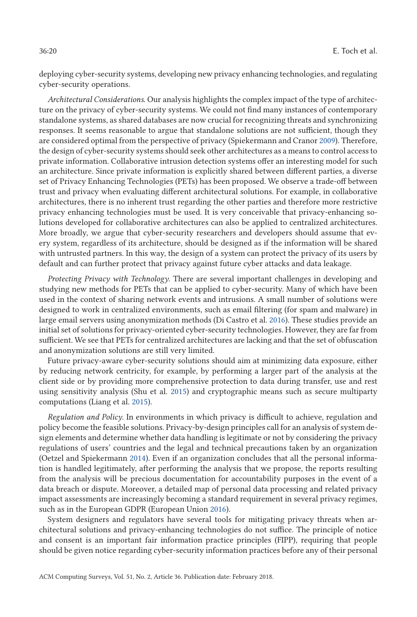deploying cyber-security systems, developing new privacy enhancing technologies, and regulating cyber-security operations.

*Architectural Considerations*. Our analysis highlights the complex impact of the type of architecture on the privacy of cyber-security systems. We could not find many instances of contemporary standalone systems, as shared databases are now crucial for recognizing threats and synchronizing responses. It seems reasonable to argue that standalone solutions are not sufficient, though they are considered optimal from the perspective of privacy (Spiekermann and Cranor [2009\)](#page-25-0). Therefore, the design of cyber-security systems should seek other architectures as a means to control access to private information. Collaborative intrusion detection systems offer an interesting model for such an architecture. Since private information is explicitly shared between different parties, a diverse set of Privacy Enhancing Technologies (PETs) has been proposed. We observe a trade-off between trust and privacy when evaluating different architectural solutions. For example, in collaborative architectures, there is no inherent trust regarding the other parties and therefore more restrictive privacy enhancing technologies must be used. It is very conceivable that privacy-enhancing solutions developed for collaborative architectures can also be applied to centralized architectures. More broadly, we argue that cyber-security researchers and developers should assume that every system, regardless of its architecture, should be designed as if the information will be shared with untrusted partners. In this way, the design of a system can protect the privacy of its users by default and can further protect that privacy against future cyber attacks and data leakage.

*Protecting Privacy with Technology*. There are several important challenges in developing and studying new methods for PETs that can be applied to cyber-security. Many of which have been used in the context of sharing network events and intrusions. A small number of solutions were designed to work in centralized environments, such as email filtering (for spam and malware) in large email servers using anonymization methods (Di Castro et al. [2016\)](#page-22-0). These studies provide an initial set of solutions for privacy-oriented cyber-security technologies. However, they are far from sufficient. We see that PETs for centralized architectures are lacking and that the set of obfuscation and anonymization solutions are still very limited.

Future privacy-aware cyber-security solutions should aim at minimizing data exposure, either by reducing network centricity, for example, by performing a larger part of the analysis at the client side or by providing more comprehensive protection to data during transfer, use and rest using sensitivity analysis (Shu et al. [2015\)](#page-25-0) and cryptographic means such as secure multiparty computations (Liang et al. [2015\)](#page-23-0).

*Regulation and Policy*. In environments in which privacy is difficult to achieve, regulation and policy become the feasible solutions. Privacy-by-design principles call for an analysis of system design elements and determine whether data handling is legitimate or not by considering the privacy regulations of users' countries and the legal and technical precautions taken by an organization (Oetzel and Spiekermann [2014\)](#page-24-0). Even if an organization concludes that all the personal information is handled legitimately, after performing the analysis that we propose, the reports resulting from the analysis will be precious documentation for accountability purposes in the event of a data breach or dispute. Moreover, a detailed map of personal data processing and related privacy impact assessments are increasingly becoming a standard requirement in several privacy regimes, such as in the European GDPR (European Union [2016\)](#page-24-0).

System designers and regulators have several tools for mitigating privacy threats when architectural solutions and privacy-enhancing technologies do not suffice. The principle of notice and consent is an important fair information practice principles (FIPP), requiring that people should be given notice regarding cyber-security information practices before any of their personal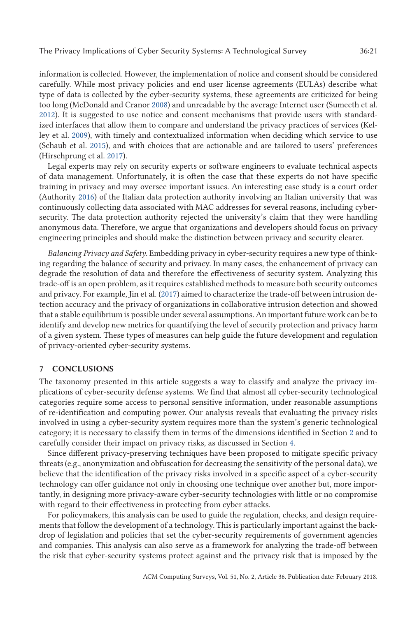information is collected. However, the implementation of notice and consent should be considered carefully. While most privacy policies and end user license agreements (EULAs) describe what type of data is collected by the cyber-security systems, these agreements are criticized for being too long (McDonald and Cranor [2008\)](#page-24-0) and unreadable by the average Internet user (Sumeeth et al. [2012\)](#page-25-0). It is suggested to use notice and consent mechanisms that provide users with standardized interfaces that allow them to compare and understand the privacy practices of services (Kelley et al. [2009\)](#page-23-0), with timely and contextualized information when deciding which service to use (Schaub et al. [2015\)](#page-25-0), and with choices that are actionable and are tailored to users' preferences (Hirschprung et al. [2017\)](#page-22-0).

Legal experts may rely on security experts or software engineers to evaluate technical aspects of data management. Unfortunately, it is often the case that these experts do not have specific training in privacy and may oversee important issues. An interesting case study is a court order (Authority [2016\)](#page-21-0) of the Italian data protection authority involving an Italian university that was continuously collecting data associated with MAC addresses for several reasons, including cybersecurity. The data protection authority rejected the university's claim that they were handling anonymous data. Therefore, we argue that organizations and developers should focus on privacy engineering principles and should make the distinction between privacy and security clearer.

*Balancing Privacy and Safety*. Embedding privacy in cyber-security requires a new type of thinking regarding the balance of security and privacy. In many cases, the enhancement of privacy can degrade the resolution of data and therefore the effectiveness of security system. Analyzing this trade-off is an open problem, as it requires established methods to measure both security outcomes and privacy. For example, Jin et al. [\(2017\)](#page-23-0) aimed to characterize the trade-off between intrusion detection accuracy and the privacy of organizations in collaborative intrusion detection and showed that a stable equilibrium is possible under several assumptions. An important future work can be to identify and develop new metrics for quantifying the level of security protection and privacy harm of a given system. These types of measures can help guide the future development and regulation of privacy-oriented cyber-security systems.

### **7 CONCLUSIONS**

The taxonomy presented in this article suggests a way to classify and analyze the privacy implications of cyber-security defense systems. We find that almost all cyber-security technological categories require some access to personal sensitive information, under reasonable assumptions of re-identification and computing power. Our analysis reveals that evaluating the privacy risks involved in using a cyber-security system requires more than the system's generic technological category; it is necessary to classify them in terms of the dimensions identified in Section [2](#page-2-0) and to carefully consider their impact on privacy risks, as discussed in Section [4.](#page-11-0)

Since different privacy-preserving techniques have been proposed to mitigate specific privacy threats (e.g., anonymization and obfuscation for decreasing the sensitivity of the personal data), we believe that the identification of the privacy risks involved in a specific aspect of a cyber-security technology can offer guidance not only in choosing one technique over another but, more importantly, in designing more privacy-aware cyber-security technologies with little or no compromise with regard to their effectiveness in protecting from cyber attacks.

For policymakers, this analysis can be used to guide the regulation, checks, and design requirements that follow the development of a technology. This is particularly important against the backdrop of legislation and policies that set the cyber-security requirements of government agencies and companies. This analysis can also serve as a framework for analyzing the trade-off between the risk that cyber-security systems protect against and the privacy risk that is imposed by the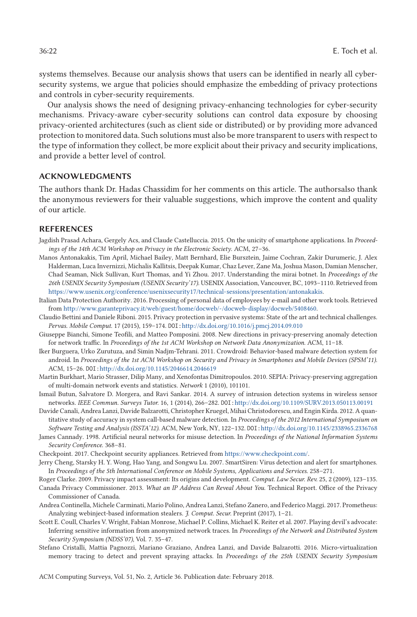<span id="page-21-0"></span>systems themselves. Because our analysis shows that users can be identified in nearly all cybersecurity systems, we argue that policies should emphasize the embedding of privacy protections and controls in cyber-security requirements.

Our analysis shows the need of designing privacy-enhancing technologies for cyber-security mechanisms. Privacy-aware cyber-security solutions can control data exposure by choosing privacy-oriented architectures (such as client side or distributed) or by providing more advanced protection to monitored data. Such solutions must also be more transparent to users with respect to the type of information they collect, be more explicit about their privacy and security implications, and provide a better level of control.

# **ACKNOWLEDGMENTS**

The authors thank Dr. Hadas Chassidim for her comments on this article. The authorsalso thank the anonymous reviewers for their valuable suggestions, which improve the content and quality of our article.

#### **REFERENCES**

- Jagdish Prasad Achara, Gergely Acs, and Claude Castelluccia. 2015. On the unicity of smartphone applications. In *Proceedings of the 14th ACM Workshop on Privacy in the Electronic Society*. ACM, 27–36.
- Manos Antonakakis, Tim April, Michael Bailey, Matt Bernhard, Elie Bursztein, Jaime Cochran, Zakir Durumeric, J. Alex Halderman, Luca Invernizzi, Michalis Kallitsis, Deepak Kumar, Chaz Lever, Zane Ma, Joshua Mason, Damian Menscher, Chad Seaman, Nick Sullivan, Kurt Thomas, and Yi Zhou. 2017. Understanding the mirai botnet. In *Proceedings of the 26th USENIX Security Symposium (USENIX Security'17)*. USENIX Association, Vancouver, BC, 1093–1110. Retrieved from [https://www.usenix.org/conference/usenixsecurity17/technical-sessions/presentation/antonakakis.](https://www.usenix.org/conference/usenixsecurity17/technical-sessions/presentation/antonakakis)
- Italian Data Protection Authority. 2016. Processing of personal data of employees by e-mail and other work tools. Retrieved from [http://www.garanteprivacy.it/web/guest/home/docweb/-/docweb-display/docweb/5408460.](http://www.garanteprivacy.it/web/guest/home/docweb/-/docweb-display/docweb/5408460)
- Claudio Bettini and Daniele Riboni. 2015. Privacy protection in pervasive systems: State of the art and technical challenges. *Pervas. Mobile Comput.* 17 (2015), 159–174. DOI:<http://dx.doi.org/10.1016/j.pmcj.2014.09.010>
- Giuseppe Bianchi, Simone Teofili, and Matteo Pomposini. 2008. New directions in privacy-preserving anomaly detection for network traffic. In *Proceedings of the 1st ACM Workshop on Network Data Anonymization*. ACM, 11–18.
- Iker Burguera, Urko Zurutuza, and Simin Nadjm-Tehrani. 2011. Crowdroid: Behavior-based malware detection system for android. In *Proceedings of the 1st ACM Workshop on Security and Privacy in Smartphones and Mobile Devices (SPSM'11)*. ACM, 15–26. DOI:<http://dx.doi.org/10.1145/2046614.2046619>
- Martin Burkhart, Mario Strasser, Dilip Many, and Xenofontas Dimitropoulos. 2010. SEPIA: Privacy-preserving aggregation of multi-domain network events and statistics. *Network* 1 (2010), 101101.
- Ismail Butun, Salvatore D. Morgera, and Ravi Sankar. 2014. A survey of intrusion detection systems in wireless sensor networks. *IEEE Commun. Surveys Tutor.* 16, 1 (2014), 266–282. DOI:<http://dx.doi.org/10.1109/SURV.2013.050113.00191>
- Davide Canali, Andrea Lanzi, Davide Balzarotti, Christopher Kruegel, Mihai Christodorescu, and Engin Kirda. 2012. A quantitative study of accuracy in system call-based malware detection. In *Proceedings of the 2012 International Symposium on Software Testing and Analysis (ISSTA'12)*. ACM, New York, NY, 122–132. DOI:<http://dx.doi.org/10.1145/2338965.2336768>
- James Cannady. 1998. Artificial neural networks for misuse detection. In *Proceedings of the National Information Systems Security Conference*. 368–81.
- Checkpoint. 2017. Checkpoint security appliances. Retrieved from [https://www.checkpoint.com/.](https://www.checkpoint.com/)
- Jerry Cheng, Starsky H. Y. Wong, Hao Yang, and Songwu Lu. 2007. SmartSiren: Virus detection and alert for smartphones. In *Proceedings of the 5th International Conference on Mobile Systems, Applications and Services*. 258–271.
- Roger Clarke. 2009. Privacy impact assessment: Its origins and development. *Comput. Law Secur. Rev.* 25, 2 (2009), 123–135.
- Canada Privacy Commissioner. 2013. *What an IP Address Can Reveal About You*. Technical Report. Office of the Privacy Commissioner of Canada.
- Andrea Continella, Michele Carminati, Mario Polino, Andrea Lanzi, Stefano Zanero, and Federico Maggi. 2017. Prometheus: Analyzing webinject-based information stealers. *J. Comput. Secur.* Preprint (2017), 1–21.
- Scott E. Coull, Charles V. Wright, Fabian Monrose, Michael P. Collins, Michael K. Reiter et al. 2007. Playing devil's advocate: Inferring sensitive information from anonymized network traces. In *Proceedings of the Network and Distributed System Security Symposium (NDSS'07)*, Vol. 7. 35–47.
- Stefano Cristalli, Mattia Pagnozzi, Mariano Graziano, Andrea Lanzi, and Davide Balzarotti. 2016. Micro-virtualization memory tracing to detect and prevent spraying attacks. In *Proceedings of the 25th USENIX Security Symposium*

ACM Computing Surveys, Vol. 51, No. 2, Article 36. Publication date: February 2018.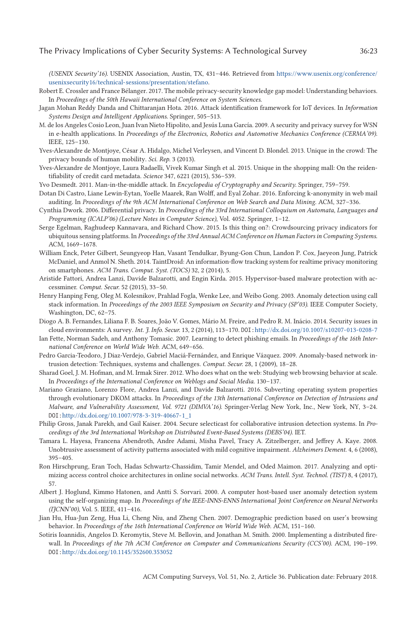<span id="page-22-0"></span>*(USENIX Security'16)*[. USENIX Association, Austin, TX, 431–446. Retrieved from](https://www.usenix.org/conference/usenixsecurity16/technical-sessions/presentation/stefano) https://www.usenix.org/conference/ usenixsecurity16/technical-sessions/presentation/stefano.

- Robert E. Crossler and France Bélanger. 2017. The mobile privacy-security knowledge gap model: Understanding behaviors. In *Proceedings of the 50th Hawaii International Conference on System Sciences*.
- Jagan Mohan Reddy Danda and Chittaranjan Hota. 2016. Attack identification framework for IoT devices. In *Information Systems Design and Intelligent Applications*. Springer, 505–513.
- M. de los Angeles Cosio Leon, Juan Ivan Nieto Hipolito, and Jesús Luna García. 2009. A security and privacy survey for WSN in e-health applications. In *Proceedings of the Electronics, Robotics and Automotive Mechanics Conference (CERMA'09).* IEEE, 125–130.
- Yves-Alexandre de Montjoye, César A. Hidalgo, Michel Verleysen, and Vincent D. Blondel. 2013. Unique in the crowd: The privacy bounds of human mobility. *Sci. Rep.* 3 (2013).
- Yves-Alexandre de Montjoye, Laura Radaelli, Vivek Kumar Singh et al. 2015. Unique in the shopping mall: On the reidentifiability of credit card metadata. *Science* 347, 6221 (2015), 536–539.
- Yvo Desmedt. 2011. Man-in-the-middle attack. In *Encyclopedia of Cryptography and Security*. Springer, 759–759.
- Dotan Di Castro, Liane Lewin-Eytan, Yoelle Maarek, Ran Wolff, and Eyal Zohar. 2016. Enforcing k-anonymity in web mail auditing. In *Proceedings of the 9th ACM International Conference on Web Search and Data Mining*. ACM, 327–336.
- Cynthia Dwork. 2006. Differential privacy. In *Proceedings of the 33rd International Colloquium on Automata, Languages and Programming (ICALP'06) (Lecture Notes in Computer Science)*, Vol. 4052. Springer, 1–12.
- Serge Egelman, Raghudeep Kannavara, and Richard Chow. 2015. Is this thing on?: Crowdsourcing privacy indicators for ubiquitous sensing platforms. In *Proceedings of the 33rd Annual ACM Conference on Human Factors in Computing Systems*. ACM, 1669–1678.
- William Enck, Peter Gilbert, Seungyeop Han, Vasant Tendulkar, Byung-Gon Chun, Landon P. Cox, Jaeyeon Jung, Patrick McDaniel, and Anmol N. Sheth. 2014. TaintDroid: An information-flow tracking system for realtime privacy monitoring on smartphones. *ACM Trans. Comput. Syst. (TOCS)* 32, 2 (2014), 5.
- Aristide Fattori, Andrea Lanzi, Davide Balzarotti, and Engin Kirda. 2015. Hypervisor-based malware protection with accessminer. *Comput. Secur.* 52 (2015), 33–50.
- Henry Hanping Feng, Oleg M. Kolesnikov, Prahlad Fogla, Wenke Lee, and Weibo Gong. 2003. Anomaly detection using call stack information. In *Proceedings of the 2003 IEEE Symposium on Security and Privacy (SP'03)*. IEEE Computer Society, Washington, DC, 62–75.
- Diogo A. B. Fernandes, Liliana F. B. Soares, João V. Gomes, Mário M. Freire, and Pedro R. M. Inácio. 2014. Security issues in cloud environments: A survey. *Int. J. Info. Secur.* 13, 2 (2014), 113–170. DOI:<http://dx.doi.org/10.1007/s10207-013-0208-7>
- Ian Fette, Norman Sadeh, and Anthony Tomasic. 2007. Learning to detect phishing emails. In *Proceedings of the 16th International Conference on World Wide Web*. ACM, 649–656.
- Pedro Garcia-Teodoro, J Diaz-Verdejo, Gabriel Maciá-Fernández, and Enrique Vázquez. 2009. Anomaly-based network intrusion detection: Techniques, systems and challenges. *Comput. Secur.* 28, 1 (2009), 18–28.
- Sharad Goel, J. M. Hofman, and M. Irmak Sirer. 2012. Who does what on the web: Studying web browsing behavior at scale. In *Proceedings of the International Conference on Weblogs and Social Media*. 130–137.
- Mariano Graziano, Lorenzo Flore, Andrea Lanzi, and Davide Balzarotti. 2016. Subverting operating system properties through evolutionary DKOM attacks. In *Proceedings of the 13th International Conference on Detection of Intrusions and Malware, and Vulnerability Assessment, Vol. 9721 (DIMVA'16)*. Springer-Verlag New York, Inc., New York, NY, 3–24. DOI:[http://dx.doi.org/10.1007/978-3-319-40667-1\\_1](http://dx.doi.org/10.1007/978-3-319-40667-1_1)
- Philip Gross, Janak Parekh, and Gail Kaiser. 2004. Secure selecticast for collaborative intrusion detection systems. In *Proceedings of the 3rd International Workshop on Distributed Event-Based Systems (DEBS'04)*. IET.
- Tamara L. Hayesa, Francena Abendroth, Andre Adami, Misha Pavel, Tracy A. Zitzelberger, and Jeffrey A. Kaye. 2008. Unobtrusive assessment of activity patterns associated with mild cognitive impairment. *Alzheimers Dement.* 4, 6 (2008), 395–405.
- Ron Hirschprung, Eran Toch, Hadas Schwartz-Chassidim, Tamir Mendel, and Oded Maimon. 2017. Analyzing and optimizing access control choice architectures in online social networks. *ACM Trans. Intell. Syst. Technol. (TIST)* 8, 4 (2017), 57.
- Albert J. Hoglund, Kimmo Hatonen, and Antti S. Sorvari. 2000. A computer host-based user anomaly detection system using the self-organizing map. In *Proceedings of the IEEE-INNS-ENNS International Joint Conference on Neural Networks (IJCNN'00)*, Vol. 5. IEEE, 411–416.
- Jian Hu, Hua-Jun Zeng, Hua Li, Cheng Niu, and Zheng Chen. 2007. Demographic prediction based on user's browsing behavior. In *Proceedings of the 16th International Conference on World Wide Web*. ACM, 151–160.
- Sotiris Ioannidis, Angelos D. Keromytis, Steve M. Bellovin, and Jonathan M. Smith. 2000. Implementing a distributed firewall. In *Proceedings of the 7th ACM Conference on Computer and Communications Security (CCS'00)*. ACM, 190–199. DOI:<http://dx.doi.org/10.1145/352600.353052>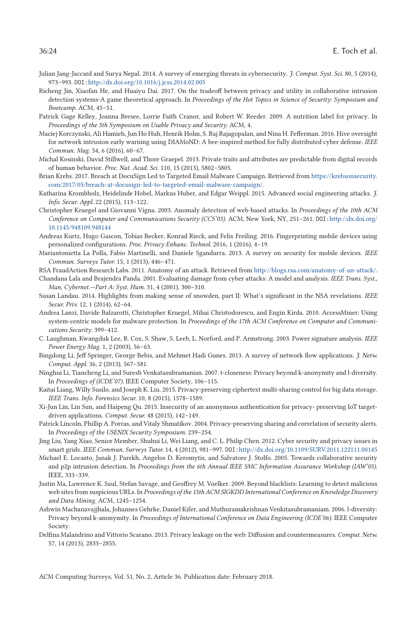- <span id="page-23-0"></span>Julian Jang-Jaccard and Surya Nepal. 2014. A survey of emerging threats in cybersecurity. *J. Comput. Syst. Sci.* 80, 5 (2014), 973–993. DOI:<http://dx.doi.org/10.1016/j.jcss.2014.02.005>
- Richeng Jin, Xiaofan He, and Huaiyu Dai. 2017. On the tradeoff between privacy and utility in collaborative intrusion detection systems-A game theoretical approach. In *Proceedings of the Hot Topics in Science of Security: Symposium and Bootcamp*. ACM, 45–51.
- Patrick Gage Kelley, Joanna Bresee, Lorrie Faith Cranor, and Robert W. Reeder. 2009. A nutrition label for privacy. In *Proceedings of the 5th Symposium on Usable Privacy and Security*. ACM, 4.
- Maciej Korczynski, Ali Hamieh, Jun Ho Huh, Henrik Holm, S. Raj Rajagopalan, and Nina H. Fefferman. 2016. Hive oversight for network intrusion early warning using DIAMoND: A bee-inspired method for fully distributed cyber defense. *IEEE Commun. Mag.* 54, 6 (2016), 60–67.
- Michal Kosinski, David Stillwell, and Thore Graepel. 2013. Private traits and attributes are predictable from digital records of human behavior. *Proc. Nat. Acad. Sci.* 110, 15 (2013), 5802–5805.
- Br[ian Krebs. 2017. Breach at DocuSign Led to Targeted Email Malware Campaign. Retrieved from](https://krebsonsecurity.com/2017/05/breach-at-docusign-led-to-targeted-email-malware-campaign/) https://krebsonsecurity. com/2017/05/breach-at-docusign-led-to-targeted-email-malware-campaign/.
- Katharina Krombholz, Heidelinde Hobel, Markus Huber, and Edgar Weippl. 2015. Advanced social engineering attacks. *J. Info. Secur. Appl.* 22 (2015), 113–122.
- Christopher Kruegel and Giovanni Vigna. 2003. Anomaly detection of web-based attacks. In *Proceedings of the 10th ACM [Conference on Computer and Communications Security \(CCS'03\)](http://dx.doi.org/10.1145/948109.948144)*. ACM, New York, NY, 251–261. DOI:http://dx.doi.org/ 10.1145/948109.948144
- Andreas Kurtz, Hugo Gascon, Tobias Becker, Konrad Rieck, and Felix Freiling. 2016. Fingerprinting mobile devices using personalized configurations. *Proc. Privacy Enhanc. Technol.* 2016, 1 (2016), 4–19.
- Mariantonietta La Polla, Fabio Martinelli, and Daniele Sgandurra. 2013. A survey on security for mobile devices. *IEEE Commun. Surveys Tutor.* 15, 1 (2013), 446–471.
- RSA FraudAction Research Labs. 2011. Anatomy of an attack. Retrieved from [http://blogs.rsa.com/anatomy-of-an-attack/.](http://blogs.rsa.com/anatomy-of-an-attack/)
- Chandana Lala and Brajendra Panda. 2001. Evaluating damage from cyber attacks: A model and analysis. *IEEE Trans. Syst., Man, Cybernet.—Part A: Syst. Hum.* 31, 4 (2001), 300–310.
- Susan Landau. 2014. Highlights from making sense of snowden, part II: What's significant in the NSA revelations. *IEEE Secur. Priv.* 12, 1 (2014), 62–64.
- Andrea Lanzi, Davide Balzarotti, Christopher Kruegel, Mihai Christodorescu, and Engin Kirda. 2010. AccessMiner: Using system-centric models for malware protection. In *Proceedings of the 17th ACM Conference on Computer and Communications Security*. 399–412.
- C. Laughman, Kwangduk Lee, R. Cox, S. Shaw, S. Leeb, L. Norford, and P. Armstrong. 2003. Power signature analysis. *IEEE Power Energy Mag.* 1, 2 (2003), 56–63.
- Bingdong Li, Jeff Springer, George Bebis, and Mehmet Hadi Gunes. 2013. A survey of network flow applications. *J. Netw. Comput. Appl.* 36, 2 (2013), 567–581.
- Ninghui Li, Tiancheng Li, and Suresh Venkatasubramanian. 2007. t-closeness: Privacy beyond k-anonymity and l-diversity. In *Proceedings of (ICDE'07)*. IEEE Computer Society, 106–115.
- Kaitai Liang, Willy Susilo, and Joseph K. Liu. 2015. Privacy-preserving ciphertext multi-sharing control for big data storage. *IEEE Trans. Info. Forensics Secur.* 10, 8 (2015), 1578–1589.
- Xi-Jun Lin, Lin Sun, and Haipeng Qu. 2015. Insecurity of an anonymous authentication for privacy- preserving IoT targetdriven applications. *Comput. Secur.* 48 (2015), 142–149.
- Patrick Lincoln, Phillip A. Porras, and Vitaly Shmatikov. 2004. Privacy-preserving sharing and correlation of security alerts. In *Proceedings of the USENIX Security Symposium*. 239–254.
- Jing Liu, Yang Xiao, Senior Member, Shuhui Li, Wei Liang, and C. L. Philip Chen. 2012. Cyber security and privacy issues in smart grids. *IEEE Commun. Surveys Tutor.* 14, 4 (2012), 981–997. DOI:<http://dx.doi.org/10.1109/SURV.2011.122111.00145>
- Michael E. Locasto, Janak J. Parekh, Angelos D. Keromytis, and Salvatore J. Stolfo. 2005. Towards collaborative security and p2p intrusion detection. In *Proceedings from the 6th Annual IEEE SMC Information Assurance Workshop (IAW'05)*. IEEE, 333–339.
- Justin Ma, Lawrence K. Saul, Stefan Savage, and Geoffrey M. Voelker. 2009. Beyond blacklists: Learning to detect malicious web sites from suspicious URLs. In *Proceedings of the 15th ACM SIGKDD International Conference on Knowledge Discovery and Data Mining*. ACM, 1245–1254.
- Ashwin Machanavajjhala, Johannes Gehrke, Daniel Kifer, and Muthuramakrishnan Venkitasubramaniam. 2006. l-diversity: Privacy beyond k-anonymity. In *Proceedings of International Conference on Data Engineering (ICDE'06)*. IEEE Computer Society.
- Delfina Malandrino and Vittorio Scarano. 2013. Privacy leakage on the web: Diffusion and countermeasures. *Comput. Netw.* 57, 14 (2013), 2833–2855.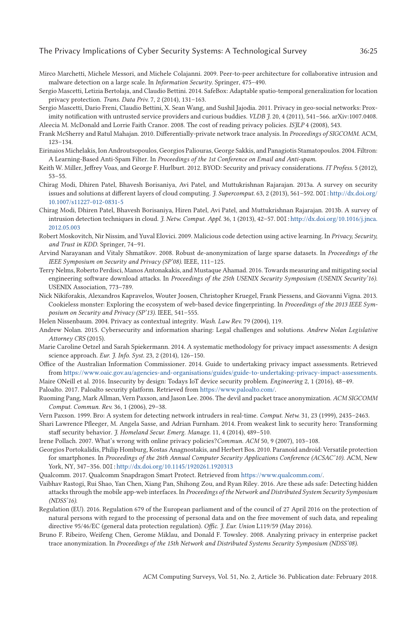- <span id="page-24-0"></span>Mirco Marchetti, Michele Messori, and Michele Colajanni. 2009. Peer-to-peer architecture for collaborative intrusion and malware detection on a large scale. In *Information Security*. Springer, 475–490.
- Sergio Mascetti, Letizia Bertolaja, and Claudio Bettini. 2014. SafeBox: Adaptable spatio-temporal generalization for location privacy protection. *Trans. Data Priv.* 7, 2 (2014), 131–163.
- Sergio Mascetti, Dario Freni, Claudio Bettini, X. Sean Wang, and Sushil Jajodia. 2011. Privacy in geo-social networks: Proximity notification with untrusted service providers and curious buddies. *VLDB J.* 20, 4 (2011), 541–566. arXiv:1007.0408. Aleecia M. McDonald and Lorrie Faith Cranor. 2008. The cost of reading privacy policies. *ISJLP* 4 (2008), 543.
- Frank McSherry and Ratul Mahajan. 2010. Differentially-private network trace analysis. In *Proceedings of SIGCOMM*. ACM, 123–134.
- Eirinaios Michelakis, Ion Androutsopoulos, Georgios Paliouras, George Sakkis, and Panagiotis Stamatopoulos. 2004. Filtron: A Learning-Based Anti-Spam Filter. In *Proceedings of the 1st Conference on Email and Anti-spam.*
- Keith W. Miller, Jeffrey Voas, and George F. Hurlburt. 2012. BYOD: Security and privacy considerations. *IT Profess.* 5 (2012), 53–55.
- Chirag Modi, Dhiren Patel, Bhavesh Borisaniya, Avi Patel, and Muttukrishnan Rajarajan. 2013a. A survey on security [issues and solutions at different layers of cloud computing.](http://dx.doi.org/10.1007/s11227-012-0831-5) *J. Supercomput.* 63, 2 (2013), 561–592. DOI:http://dx.doi.org/ 10.1007/s11227-012-0831-5
- Chirag Modi, Dhiren Patel, Bhavesh Borisaniya, Hiren Patel, Avi Patel, and Muttukrishnan Rajarajan. 2013b. A survey of [intrusion detection techniques in cloud.](http://dx.doi.org/10.1016/j.jnca.2012.05.003) *J. Netw. Comput. Appl.* 36, 1 (2013), 42–57. DOI:http://dx.doi.org/10.1016/j.jnca. 2012.05.003
- Robert Moskovitch, Nir Nissim, and Yuval Elovici. 2009. Malicious code detection using active learning. In *Privacy, Security, and Trust in KDD*. Springer, 74–91.
- Arvind Narayanan and Vitaly Shmatikov. 2008. Robust de-anonymization of large sparse datasets. In *Proceedings of the IEEE Symposium on Security and Privacy (SP'08)*. IEEE, 111–125.
- Terry Nelms, Roberto Perdisci, Manos Antonakakis, and Mustaque Ahamad. 2016. Towards measuring and mitigating social engineering software download attacks. In *Proceedings of the 25th USENIX Security Symposium (USENIX Security'16)*. USENIX Association, 773–789.
- Nick Nikiforakis, Alexandros Kapravelos, Wouter Joosen, Christopher Kruegel, Frank Piessens, and Giovanni Vigna. 2013. Cookieless monster: Exploring the ecosystem of web-based device fingerprinting. In *Proceedings of the 2013 IEEE Symposium on Security and Privacy (SP'13)*. IEEE, 541–555.
- Helen Nissenbaum. 2004. Privacy as contextual integrity. *Wash. Law Rev.* 79 (2004), 119.
- Andrew Nolan. 2015. Cybersecurity and information sharing: Legal challenges and solutions. *Andrew Nolan Legislative Attorney CRS* (2015).
- Marie Caroline Oetzel and Sarah Spiekermann. 2014. A systematic methodology for privacy impact assessments: A design science approach. *Eur. J. Info. Syst.* 23, 2 (2014), 126–150.
- Office of the Australian Information Commissioner. 2014. Guide to undertaking privacy impact assessments. Retrieved from [https://www.oaic.gov.au/agencies-and-organisations/guides/guide-to-undertaking-privacy-impact-assessments.](https://www.oaic.gov.au/agencies-and-organisations/guides/guide-to-undertaking-privacy-impact-assessments) Maire ONeill et al. 2016. Insecurity by design: Todays IoT device security problem. *Engineering* 2, 1 (2016), 48–49.
- Paloalto. 2017. Paloalto security platform. Retrieved from [https://www.paloalto.com/.](https://www.paloalto.com/)
- Ruoming Pang, Mark Allman, Vern Paxson, and Jason Lee. 2006. The devil and packet trace anonymization. *ACM SIGCOMM Comput. Commun. Rev.* 36, 1 (2006), 29–38.
- Vern Paxson. 1999. Bro: A system for detecting network intruders in real-time. *Comput. Netw.* 31, 23 (1999), 2435–2463.
- Shari Lawrence Pfleeger, M. Angela Sasse, and Adrian Furnham. 2014. From weakest link to security hero: Transforming staff security behavior. *J. Homeland Secur. Emerg. Manage.* 11, 4 (2014), 489–510.
- Irene Pollach. 2007. What's wrong with online privacy policies?*Commun. ACM* 50, 9 (2007), 103–108.
- Georgios Portokalidis, Philip Homburg, Kostas Anagnostakis, and Herbert Bos. 2010. Paranoid android: Versatile protection for smartphones. In *Proceedings of the 26th Annual Computer Security Applications Conference (ACSAC'10)*. ACM, New York, NY, 347–356. DOI:<http://dx.doi.org/10.1145/1920261.1920313>
- Qualcomm. 2017. Qualcomm Snapdragon Smart Protect. Retrieved from [https://www.qualcomm.com/.](https://www.qualcomm.com/)
- Vaibhav Rastogi, Rui Shao, Yan Chen, Xiang Pan, Shihong Zou, and Ryan Riley. 2016. Are these ads safe: Detecting hidden attacks through the mobile app-web interfaces. In *Proceedings of the Network and Distributed System Security Symposium (NDSS'16)*.
- Regulation (EU). 2016. Regulation 679 of the European parliament and of the council of 27 April 2016 on the protection of natural persons with regard to the processing of personal data and on the free movement of such data, and repealing directive 95/46/EC (general data protection regulation). *Offic. J. Eur. Union* L119/59 (May 2016).
- Bruno F. Ribeiro, Weifeng Chen, Gerome Miklau, and Donald F. Towsley. 2008. Analyzing privacy in enterprise packet trace anonymization. In *Proceedings of the 15th Network and Distributed Systems Security Symposium (NDSS'08)*.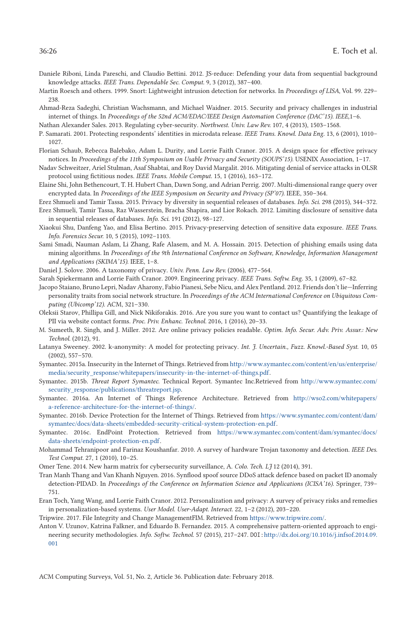- <span id="page-25-0"></span>Daniele Riboni, Linda Pareschi, and Claudio Bettini. 2012. JS-reduce: Defending your data from sequential background knowledge attacks. *IEEE Trans. Dependable Sec. Comput.* 9, 3 (2012), 387–400.
- Martin Roesch and others. 1999. Snort: Lightweight intrusion detection for networks. In *Proceedings of LISA*, Vol. 99. 229– 238.
- Ahmad-Reza Sadeghi, Christian Wachsmann, and Michael Waidner. 2015. Security and privacy challenges in industrial internet of things. In *Proceedings of the 52nd ACM/EDAC/IEEE Design Automation Conference (DAC'15). IEEE,*1–6.
- Nathan Alexander Sales. 2013. Regulating cyber-security. *Northwest. Univ. Law Rev.* 107, 4 (2013), 1503–1568.
- P. Samarati. 2001. Protecting respondents' identities in microdata release. *IEEE Trans. Knowl. Data Eng.* 13, 6 (2001), 1010– 1027.
- Florian Schaub, Rebecca Balebako, Adam L. Durity, and Lorrie Faith Cranor. 2015. A design space for effective privacy notices. In *Proceedings of the 11th Symposium on Usable Privacy and Security (SOUPS'15)*. USENIX Association, 1–17.
- Nadav Schweitzer, Ariel Stulman, Asaf Shabtai, and Roy David Margalit. 2016. Mitigating denial of service attacks in OLSR protocol using fictitious nodes. *IEEE Trans. Mobile Comput.* 15, 1 (2016), 163–172.
- Elaine Shi, John Bethencourt, T. H. Hubert Chan, Dawn Song, and Adrian Perrig. 2007. Multi-dimensional range query over encrypted data. In *Proceedings of the IEEE Symposium on Security and Privacy (SP'07)*. IEEE, 350–364.
- Erez Shmueli and Tamir Tassa. 2015. Privacy by diversity in sequential releases of databases. *Info. Sci.* 298 (2015), 344–372. Erez Shmueli, Tamir Tassa, Raz Wasserstein, Bracha Shapira, and Lior Rokach. 2012. Limiting disclosure of sensitive data in sequential releases of databases. *Info. Sci.* 191 (2012), 98–127.
- Xiaokui Shu, Danfeng Yao, and Elisa Bertino. 2015. Privacy-preserving detection of sensitive data exposure. *IEEE Trans. Info. Forensics Secur.* 10, 5 (2015), 1092–1103.
- Sami Smadi, Nauman Aslam, Li Zhang, Rafe Alasem, and M. A. Hossain. 2015. Detection of phishing emails using data mining algorithms. In *Proceedings of the 9th International Conference on Software, Knowledge, Information Management and Applications (SKIMA'15)*. IEEE, 1–8.
- Daniel J. Solove. 2006. A taxonomy of privacy. *Univ. Penn. Law Rev.* (2006), 477–564.
- Sarah Spiekermann and Lorrie Faith Cranor. 2009. Engineering privacy. *IEEE Trans. Softw. Eng.* 35, 1 (2009), 67–82.
- Jacopo Staiano, Bruno Lepri, Nadav Aharony, Fabio Pianesi, Sebe Nicu, and Alex Pentland. 2012. Friends don't lie—Inferring personality traits from social network structure. In *Proceedings of the ACM International Conference on Ubiquitous Computing (Ubicomp'12)*. ACM, 321–330.
- Oleksii Starov, Phillipa Gill, and Nick Nikiforakis. 2016. Are you sure you want to contact us? Quantifying the leakage of PII via website contact forms. *Proc. Priv. Enhanc. Technol.* 2016, 1 (2016), 20–33.
- M. Sumeeth, R. Singh, and J. Miller. 2012. Are online privacy policies readable. *Optim. Info. Secur. Adv. Priv. Assur.: New Technol.* (2012), 91.
- Latanya Sweeney. 2002. k-anonymity: A model for protecting privacy. *Int. J. Uncertain., Fuzz. Knowl.-Based Syst.* 10, 05 (2002), 557–570.
- Symantec. 2015a. Insecurity in the Internet of Things. Retrieved from http://www.symantec.com/content/en/us/enterprise/ [media/security\\_response/whitepapers/insecurity-in-the-internet-of-things.pdf.](http://www.symantec.com/content/en/us/enterprise/media/security_response/whitepapers/insecurity-in-the-internet-of-things.pdf)
- Symantec. 2015b. *Threat Report Symantec*[. Technical Report. Symantec Inc.Retrieved from](http://www.symantec.com/security_response/publications/threatreport.jsp) http://www.symantec.com/ security\_response/publications/threatreport.jsp.
- Sy[mantec. 2016a. An Internet of Things Reference Architecture. Retrieved from](http://wso2.com/whitepapers/a-reference-architecture-for-the-internet-of-things/) http://wso2.com/whitepapers/ a-reference-architecture-for-the-internet-of-things/.
- Symantec. 2016b. Device Protection for the Internet of Things. Retrieved from https://www.symantec.com/content/dam/ [symantec/docs/data-sheets/embedded-security-critical-system-protection-en.pdf.](https://www.symantec.com/content/dam/symantec/docs/data-sheets/embedded-security-critical-system-protection-en.pdf)
- Sy[mantec. 2016c. EndPoint Protection. Retrieved from](https://www.symantec.com/content/dam/symantec/docs/data-sheets/endpoint-protection-en.pdf) https://www.symantec.com/content/dam/symantec/docs/ data-sheets/endpoint-protection-en.pdf.
- Mohammad Tehranipoor and Farinaz Koushanfar. 2010. A survey of hardware Trojan taxonomy and detection. *IEEE Des. Test Comput.* 27, 1 (2010), 10–25.
- Omer Tene. 2014. New harm matrix for cybersecurity surveillance, A. *Colo. Tech. LJ* 12 (2014), 391.
- Tran Manh Thang and Van Khanh Nguyen. 2016. Synflood spoof source DDoS attack defence based on packet ID anomaly detection-PIDAD. In *Proceedings of the Conference on Information Science and Applications (ICISA'16)*. Springer, 739– 751.
- Eran Toch, Yang Wang, and Lorrie Faith Cranor. 2012. Personalization and privacy: A survey of privacy risks and remedies in personalization-based systems. *User Model. User-Adapt. Interact.* 22, 1–2 (2012), 203–220.
- Tripwire. 2017. File Integrity and Change ManagementFIM. Retrieved from [https://www.tripwire.com/.](https://www.tripwire.com/)
- Anton V. Uzunov, Katrina Falkner, and Eduardo B. Fernandez. 2015. A comprehensive pattern-oriented approach to engineering security methodologies. *Info. Softw. Technol.* 57 (2015), 217–247. DOI:[http://dx.doi.org/10.1016/j.infsof.2014.09.](http://dx.doi.org/10.1016/j.infsof.2014.09.001) 001